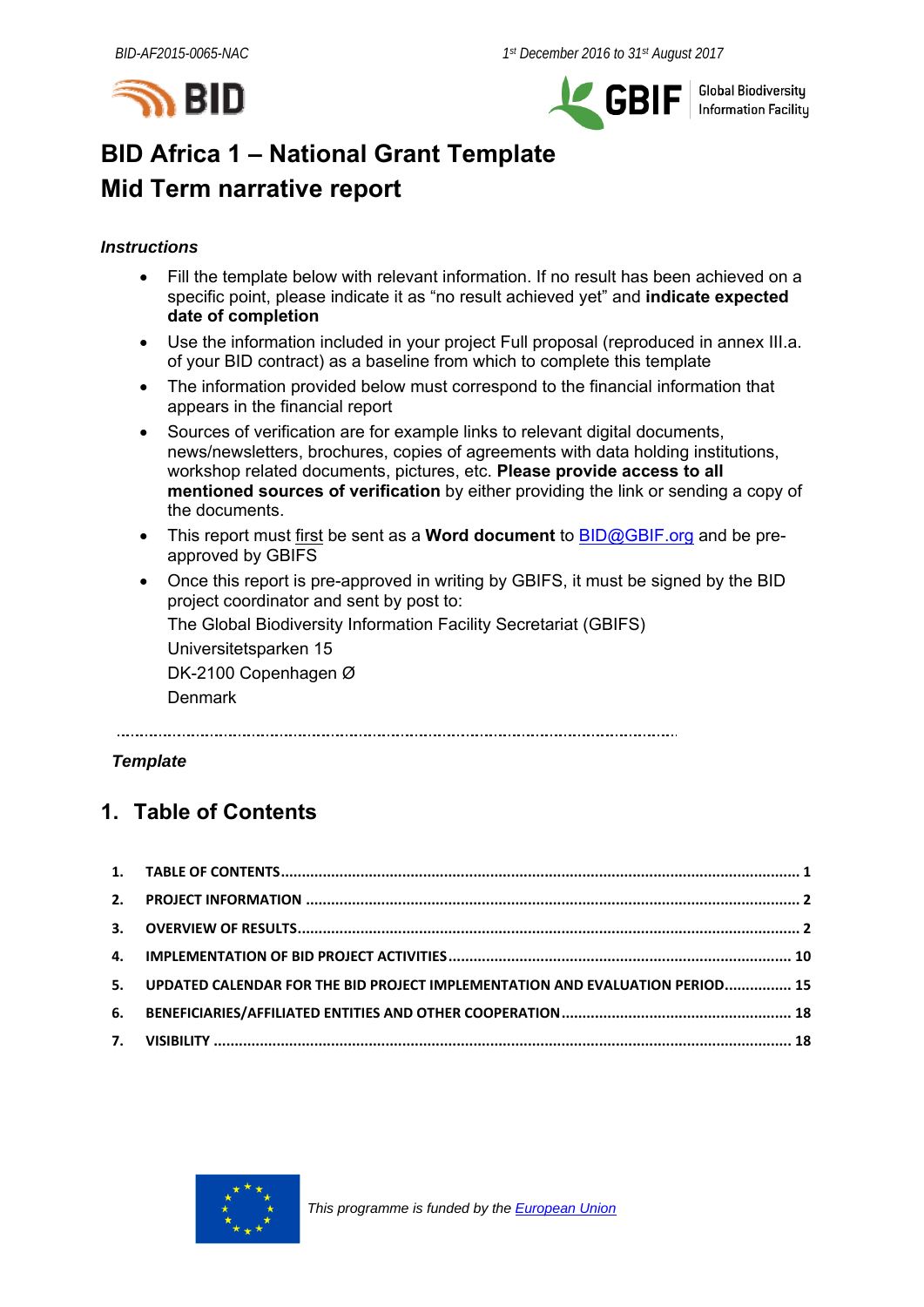



Global Biodiversity<br>Information Facility

# **BID Africa 1 – National Grant Template Mid Term narrative report**

#### *Instructions*

- Fill the template below with relevant information. If no result has been achieved on a specific point, please indicate it as "no result achieved yet" and **indicate expected date of completion**
- Use the information included in your project Full proposal (reproduced in annex III.a. of your BID contract) as a baseline from which to complete this template
- The information provided below must correspond to the financial information that appears in the financial report
- Sources of verification are for example links to relevant digital documents, news/newsletters, brochures, copies of agreements with data holding institutions, workshop related documents, pictures, etc. **Please provide access to all mentioned sources of verification** by either providing the link or sending a copy of the documents.
- This report must first be sent as a **Word document** to BID@GBIF.org and be preapproved by GBIFS
- Once this report is pre-approved in writing by GBIFS, it must be signed by the BID project coordinator and sent by post to:

The Global Biodiversity Information Facility Secretariat (GBIFS) Universitetsparken 15 DK-2100 Copenhagen Ø

**Denmark** 

### *Template*

# **1. Table of Contents**

| 5. UPDATED CALENDAR FOR THE BID PROJECT IMPLEMENTATION AND EVALUATION PERIOD 15 |  |
|---------------------------------------------------------------------------------|--|
|                                                                                 |  |
|                                                                                 |  |

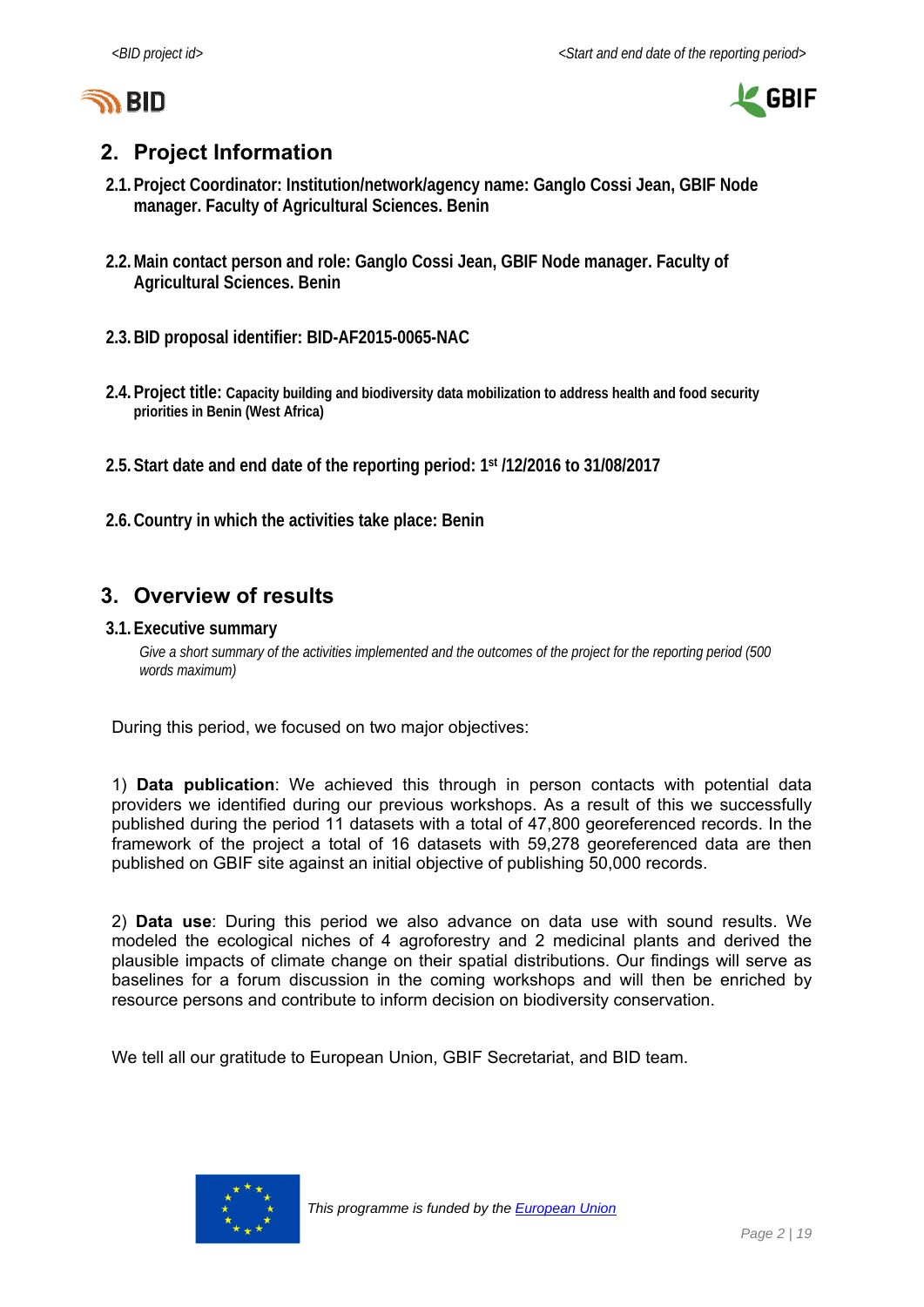



# **2. Project Information**

- **2.1.Project Coordinator: Institution/network/agency name: Ganglo Cossi Jean, GBIF Node manager. Faculty of Agricultural Sciences. Benin**
- **2.2.Main contact person and role: Ganglo Cossi Jean, GBIF Node manager. Faculty of Agricultural Sciences. Benin**
- **2.3.BID proposal identifier: BID-AF2015-0065-NAC**
- **2.4.Project title: Capacity building and biodiversity data mobilization to address health and food security priorities in Benin (West Africa)**
- **2.5.Start date and end date of the reporting period: 1st /12/2016 to 31/08/2017**
- **2.6.Country in which the activities take place: Benin**

# **3. Overview of results**

#### **3.1.Executive summary**

*Give a short summary of the activities implemented and the outcomes of the project for the reporting period (500 words maximum)* 

During this period, we focused on two major objectives:

1) **Data publication**: We achieved this through in person contacts with potential data providers we identified during our previous workshops. As a result of this we successfully published during the period 11 datasets with a total of 47,800 georeferenced records. In the framework of the project a total of 16 datasets with 59,278 georeferenced data are then published on GBIF site against an initial objective of publishing 50,000 records.

2) **Data use**: During this period we also advance on data use with sound results. We modeled the ecological niches of 4 agroforestry and 2 medicinal plants and derived the plausible impacts of climate change on their spatial distributions. Our findings will serve as baselines for a forum discussion in the coming workshops and will then be enriched by resource persons and contribute to inform decision on biodiversity conservation.

We tell all our gratitude to European Union, GBIF Secretariat, and BID team.

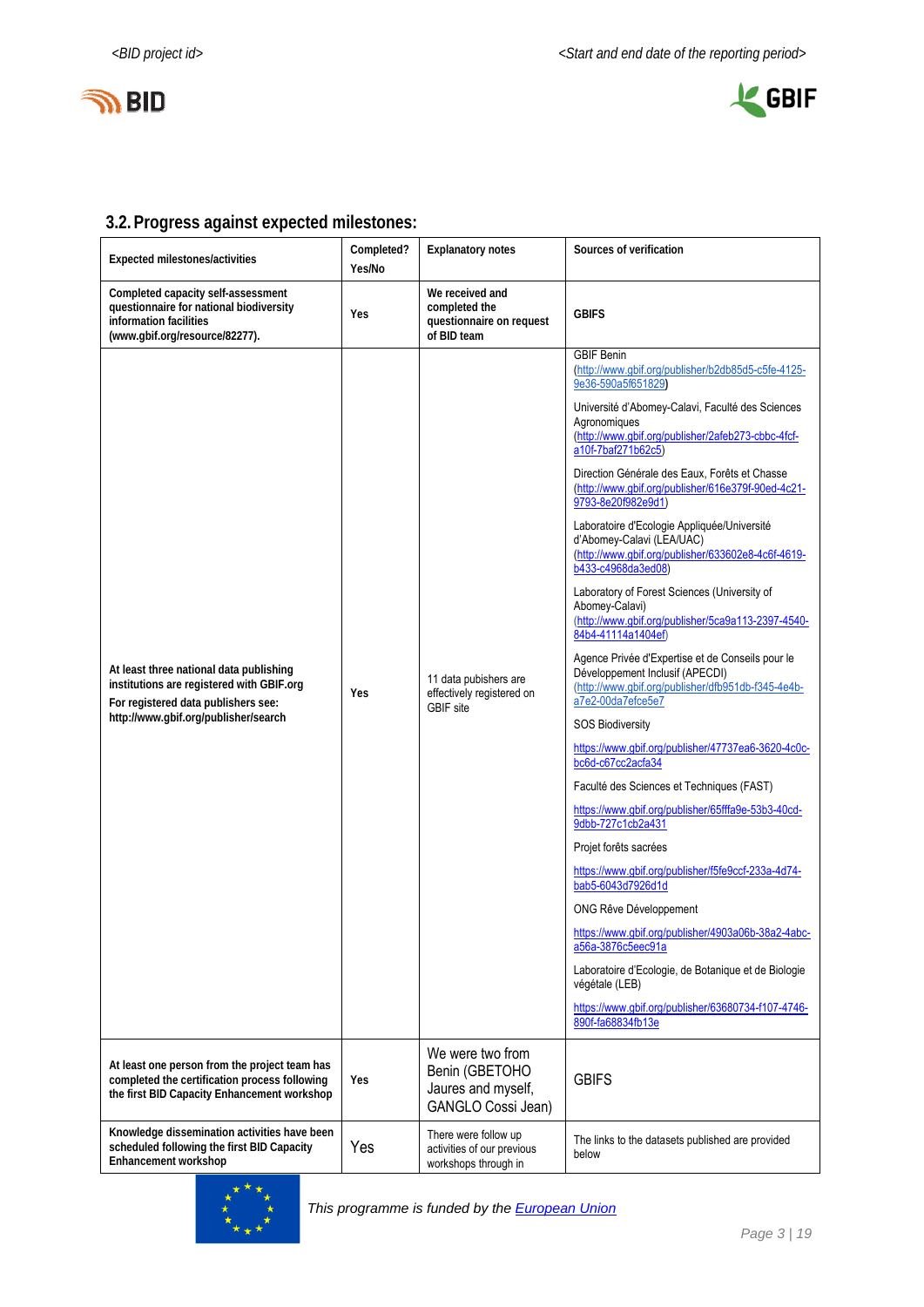



# **3.2.Progress against expected milestones:**

| Expected milestones/activities                                                                                                                                      | Completed?<br>Yes/No | <b>Explanatory notes</b>                                                       | Sources of verification                                                                                                                                                                                                                                                                                                                                                                                                                                                                                                                                                                                                                                                                                                                                                                                                                                                                                                                                                                                                                                                                                                                                                                                                                                                                                                                                                                                                                       |
|---------------------------------------------------------------------------------------------------------------------------------------------------------------------|----------------------|--------------------------------------------------------------------------------|-----------------------------------------------------------------------------------------------------------------------------------------------------------------------------------------------------------------------------------------------------------------------------------------------------------------------------------------------------------------------------------------------------------------------------------------------------------------------------------------------------------------------------------------------------------------------------------------------------------------------------------------------------------------------------------------------------------------------------------------------------------------------------------------------------------------------------------------------------------------------------------------------------------------------------------------------------------------------------------------------------------------------------------------------------------------------------------------------------------------------------------------------------------------------------------------------------------------------------------------------------------------------------------------------------------------------------------------------------------------------------------------------------------------------------------------------|
| Completed capacity self-assessment<br>questionnaire for national biodiversity<br>information facilities<br>(www.gbif.org/resource/82277).                           | Yes                  | We received and<br>completed the<br>questionnaire on request<br>of BID team    | <b>GBIFS</b>                                                                                                                                                                                                                                                                                                                                                                                                                                                                                                                                                                                                                                                                                                                                                                                                                                                                                                                                                                                                                                                                                                                                                                                                                                                                                                                                                                                                                                  |
| At least three national data publishing<br>institutions are registered with GBIF.org<br>For registered data publishers see:<br>http://www.gbif.org/publisher/search | Yes                  | 11 data pubishers are<br>effectively registered on<br><b>GBIF</b> site         | <b>GBIF Benin</b><br>(http://www.gbif.org/publisher/b2db85d5-c5fe-4125-<br>9e36-590a5f651829)<br>Université d'Abomey-Calavi, Faculté des Sciences<br>Agronomiques<br>(http://www.gbif.org/publisher/2afeb273-cbbc-4fcf-<br>a10f-7baf271b62c5)<br>Direction Générale des Eaux, Forêts et Chasse<br>(http://www.gbif.org/publisher/616e379f-90ed-4c21-<br>9793-8e20f982e9d1)<br>Laboratoire d'Ecologie Appliquée/Université<br>d'Abomey-Calavi (LEA/UAC)<br>(http://www.gbif.org/publisher/633602e8-4c6f-4619-<br>b433-c4968da3ed08)<br>Laboratory of Forest Sciences (University of<br>Abomey-Calavi)<br>(http://www.gbif.org/publisher/5ca9a113-2397-4540-<br>84b4-41114a1404ef)<br>Agence Privée d'Expertise et de Conseils pour le<br>Développement Inclusif (APECDI)<br>(http://www.gbif.org/publisher/dfb951db-f345-4e4b-<br>a7e2-00da7efce5e7<br><b>SOS Biodiversity</b><br>https://www.gbif.org/publisher/47737ea6-3620-4c0c-<br>bc6d-c67cc2acfa34<br>Faculté des Sciences et Techniques (FAST)<br>https://www.gbif.org/publisher/65fffa9e-53b3-40cd-<br>9dbb-727c1cb2a431<br>Projet forêts sacrées<br>https://www.qbif.org/publisher/f5fe9ccf-233a-4d74-<br>bab5-6043d7926d1d<br>ONG Rêve Développement<br>https://www.qbif.org/publisher/4903a06b-38a2-4abc-<br>a56a-3876c5eec91a<br>Laboratoire d'Ecologie, de Botanique et de Biologie<br>végétale (LEB)<br>https://www.gbif.org/publisher/63680734-f107-4746-<br>890f-fa68834fb13e |
| At least one person from the project team has<br>completed the certification process following<br>the first BID Capacity Enhancement workshop                       | Yes                  | We were two from<br>Benin (GBETOHO<br>Jaures and myself,<br>GANGLO Cossi Jean) | <b>GBIFS</b>                                                                                                                                                                                                                                                                                                                                                                                                                                                                                                                                                                                                                                                                                                                                                                                                                                                                                                                                                                                                                                                                                                                                                                                                                                                                                                                                                                                                                                  |
| Knowledge dissemination activities have been<br>scheduled following the first BID Capacity<br>Enhancement workshop                                                  | Yes                  | There were follow up<br>activities of our previous<br>workshops through in     | The links to the datasets published are provided<br>below                                                                                                                                                                                                                                                                                                                                                                                                                                                                                                                                                                                                                                                                                                                                                                                                                                                                                                                                                                                                                                                                                                                                                                                                                                                                                                                                                                                     |

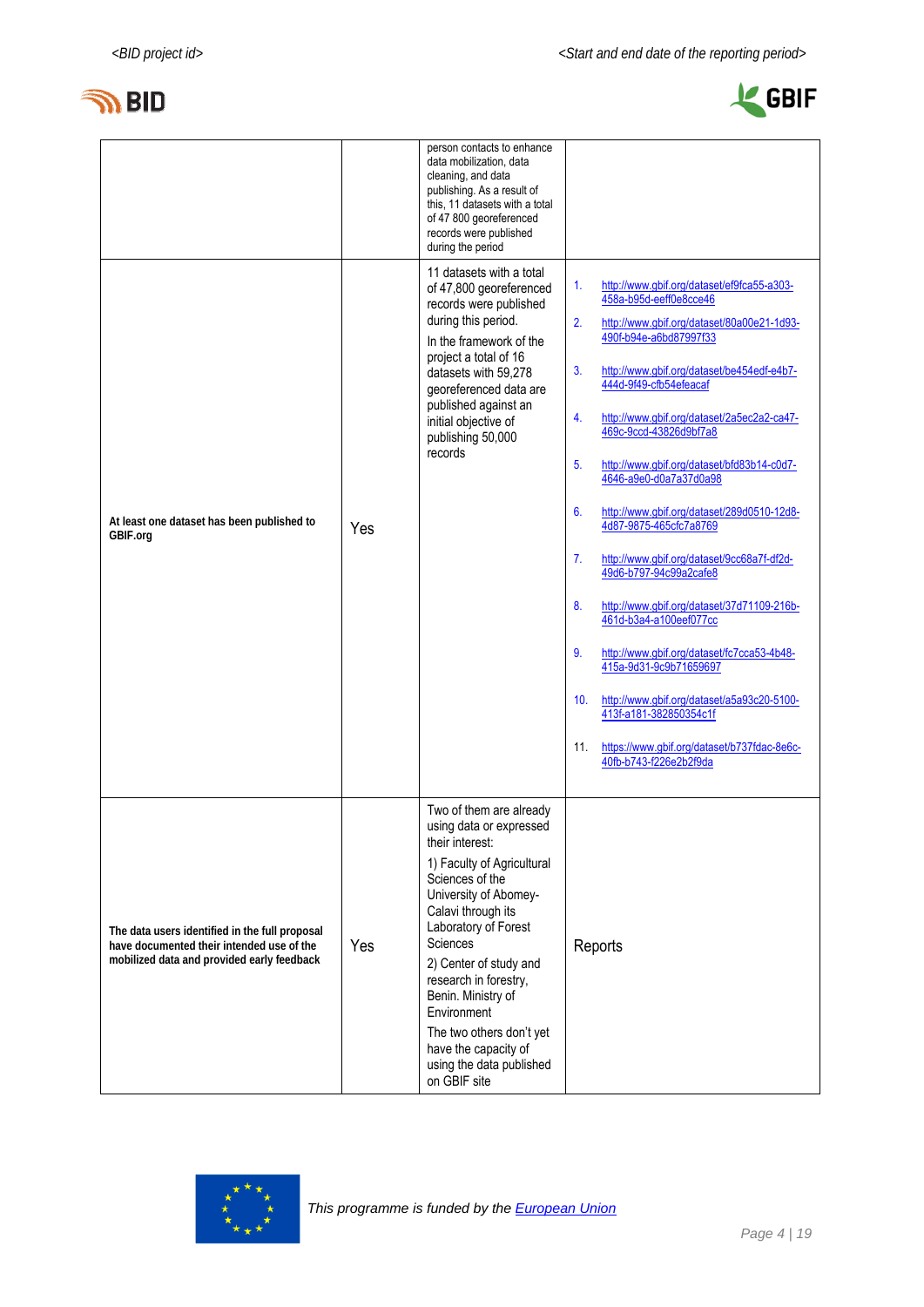



|                                                                                                                                           |     | person contacts to enhance<br>data mobilization, data<br>cleaning, and data<br>publishing. As a result of<br>this, 11 datasets with a total<br>of 47 800 georeferenced<br>records were published<br>during the period                                                                                                                                                                             |                                                                                                                                                                                                                                                                                                                                                                                                                                                                                                                                                                                                                                                                                                                                                                                                                                                                                                                   |
|-------------------------------------------------------------------------------------------------------------------------------------------|-----|---------------------------------------------------------------------------------------------------------------------------------------------------------------------------------------------------------------------------------------------------------------------------------------------------------------------------------------------------------------------------------------------------|-------------------------------------------------------------------------------------------------------------------------------------------------------------------------------------------------------------------------------------------------------------------------------------------------------------------------------------------------------------------------------------------------------------------------------------------------------------------------------------------------------------------------------------------------------------------------------------------------------------------------------------------------------------------------------------------------------------------------------------------------------------------------------------------------------------------------------------------------------------------------------------------------------------------|
| At least one dataset has been published to<br>GBIF.org                                                                                    | Yes | 11 datasets with a total<br>of 47,800 georeferenced<br>records were published<br>during this period.<br>In the framework of the<br>project a total of 16<br>datasets with 59,278<br>georeferenced data are<br>published against an<br>initial objective of<br>publishing 50,000<br>records                                                                                                        | http://www.gbif.org/dataset/ef9fca55-a303-<br>$\mathbf{1}$ .<br>458a-b95d-eeff0e8cce46<br>2.<br>http://www.gbif.org/dataset/80a00e21-1d93-<br>490f-b94e-a6bd87997f33<br>3.<br>http://www.gbif.org/dataset/be454edf-e4b7-<br>444d-9f49-cfb54efeacaf<br>http://www.gbif.org/dataset/2a5ec2a2-ca47-<br>4.<br>469c-9ccd-43826d9bf7a8<br>5.<br>http://www.gbif.org/dataset/bfd83b14-c0d7-<br>4646-a9e0-d0a7a37d0a98<br>6.<br>http://www.gbif.org/dataset/289d0510-12d8-<br>4d87-9875-465cfc7a8769<br>7.<br>http://www.gbif.org/dataset/9cc68a7f-df2d-<br>49d6-b797-94c99a2cafe8<br>8.<br>http://www.gbif.org/dataset/37d71109-216b-<br>461d-b3a4-a100eef077cc<br>9.<br>http://www.gbif.org/dataset/fc7cca53-4b48-<br>415a-9d31-9c9b71659697<br>10 <sub>1</sub><br>http://www.gbif.org/dataset/a5a93c20-5100-<br>413f-a181-382850354c1f<br>https://www.gbif.org/dataset/b737fdac-8e6c-<br>11.<br>40fb-b743-f226e2b2f9da |
| The data users identified in the full proposal<br>have documented their intended use of the<br>mobilized data and provided early feedback | Yes | Two of them are already<br>using data or expressed<br>their interest:<br>1) Faculty of Agricultural<br>Sciences of the<br>University of Abomey-<br>Calavi through its<br>Laboratory of Forest<br>Sciences<br>2) Center of study and<br>research in forestry,<br>Benin. Ministry of<br>Environment<br>The two others don't yet<br>have the capacity of<br>using the data published<br>on GBIF site | Reports                                                                                                                                                                                                                                                                                                                                                                                                                                                                                                                                                                                                                                                                                                                                                                                                                                                                                                           |

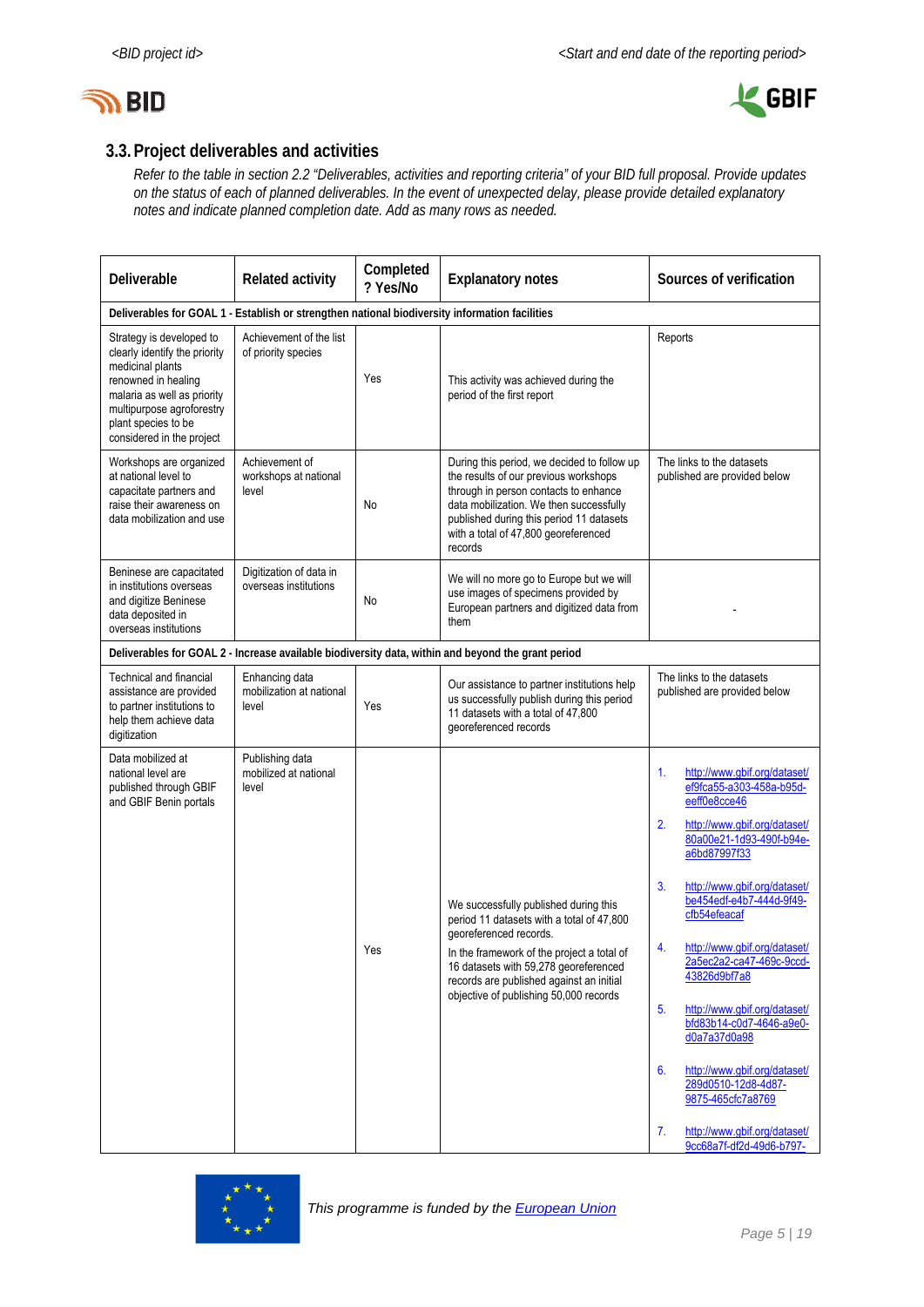



# **3.3.Project deliverables and activities**

*Refer to the table in section 2.2 "Deliverables, activities and reporting criteria" of your BID full proposal. Provide updates on the status of each of planned deliverables. In the event of unexpected delay, please provide detailed explanatory notes and indicate planned completion date. Add as many rows as needed.* 

| Deliverable                                                                                                                                                                                                          | <b>Related activity</b>                             | Completed<br>? Yes/No | <b>Explanatory notes</b>                                                                                                                                                                                                                                                                  | Sources of verification                                                                                                                                                                                                                                                                                                                                                                                                                                                                                                                                                                            |
|----------------------------------------------------------------------------------------------------------------------------------------------------------------------------------------------------------------------|-----------------------------------------------------|-----------------------|-------------------------------------------------------------------------------------------------------------------------------------------------------------------------------------------------------------------------------------------------------------------------------------------|----------------------------------------------------------------------------------------------------------------------------------------------------------------------------------------------------------------------------------------------------------------------------------------------------------------------------------------------------------------------------------------------------------------------------------------------------------------------------------------------------------------------------------------------------------------------------------------------------|
| Deliverables for GOAL 1 - Establish or strengthen national biodiversity information facilities                                                                                                                       |                                                     |                       |                                                                                                                                                                                                                                                                                           |                                                                                                                                                                                                                                                                                                                                                                                                                                                                                                                                                                                                    |
| Strategy is developed to<br>clearly identify the priority<br>medicinal plants<br>renowned in healing<br>malaria as well as priority<br>multipurpose agroforestry<br>plant species to be<br>considered in the project | Achievement of the list<br>of priority species      | Yes                   | This activity was achieved during the<br>period of the first report                                                                                                                                                                                                                       | Reports                                                                                                                                                                                                                                                                                                                                                                                                                                                                                                                                                                                            |
| Workshops are organized<br>at national level to<br>capacitate partners and<br>raise their awareness on<br>data mobilization and use                                                                                  | Achievement of<br>workshops at national<br>level    | No                    | During this period, we decided to follow up<br>the results of our previous workshops<br>through in person contacts to enhance<br>data mobilization. We then successfully<br>published during this period 11 datasets<br>with a total of 47,800 georeferenced<br>records                   | The links to the datasets<br>published are provided below                                                                                                                                                                                                                                                                                                                                                                                                                                                                                                                                          |
| Beninese are capacitated<br>in institutions overseas<br>and digitize Beninese<br>data deposited in<br>overseas institutions                                                                                          | Digitization of data in<br>overseas institutions    | No                    | We will no more go to Europe but we will<br>use images of specimens provided by<br>European partners and digitized data from<br>them                                                                                                                                                      |                                                                                                                                                                                                                                                                                                                                                                                                                                                                                                                                                                                                    |
|                                                                                                                                                                                                                      |                                                     |                       | Deliverables for GOAL 2 - Increase available biodiversity data, within and beyond the grant period                                                                                                                                                                                        |                                                                                                                                                                                                                                                                                                                                                                                                                                                                                                                                                                                                    |
| <b>Technical and financial</b><br>assistance are provided<br>to partner institutions to<br>help them achieve data<br>digitization                                                                                    | Enhancing data<br>mobilization at national<br>level | Yes                   | Our assistance to partner institutions help<br>us successfully publish during this period<br>11 datasets with a total of 47,800<br>georeferenced records                                                                                                                                  | The links to the datasets<br>published are provided below                                                                                                                                                                                                                                                                                                                                                                                                                                                                                                                                          |
| Data mobilized at<br>national level are<br>published through GBIF<br>and GBIF Benin portals                                                                                                                          | Publishing data<br>mobilized at national<br>level   | Yes                   | We successfully published during this<br>period 11 datasets with a total of 47,800<br>georeferenced records.<br>In the framework of the project a total of<br>16 datasets with 59,278 georeferenced<br>records are published against an initial<br>objective of publishing 50,000 records | http://www.gbif.org/dataset/<br>1.<br>ef9fca55-a303-458a-b95d-<br>eeff0e8cce46<br>2.<br>http://www.gbif.org/dataset/<br>80a00e21-1d93-490f-b94e-<br>a6bd87997f33<br>3.<br>http://www.gbif.org/dataset/<br>be454edf-e4b7-444d-9f49-<br>cfb54efeacaf<br>http://www.gbif.org/dataset/<br>$\overline{4}$<br>2a5ec2a2-ca47-469c-9ccd-<br>43826d9bf7a8<br>5 <sub>1</sub><br>http://www.gbif.org/dataset/<br>bfd83b14-c0d7-4646-a9e0-<br>d0a7a37d0a98<br>6.<br>http://www.gbif.org/dataset/<br>289d0510-12d8-4d87-<br>9875-465cfc7a8769<br>7.<br>http://www.gbif.org/dataset/<br>9cc68a7f-df2d-49d6-b797- |

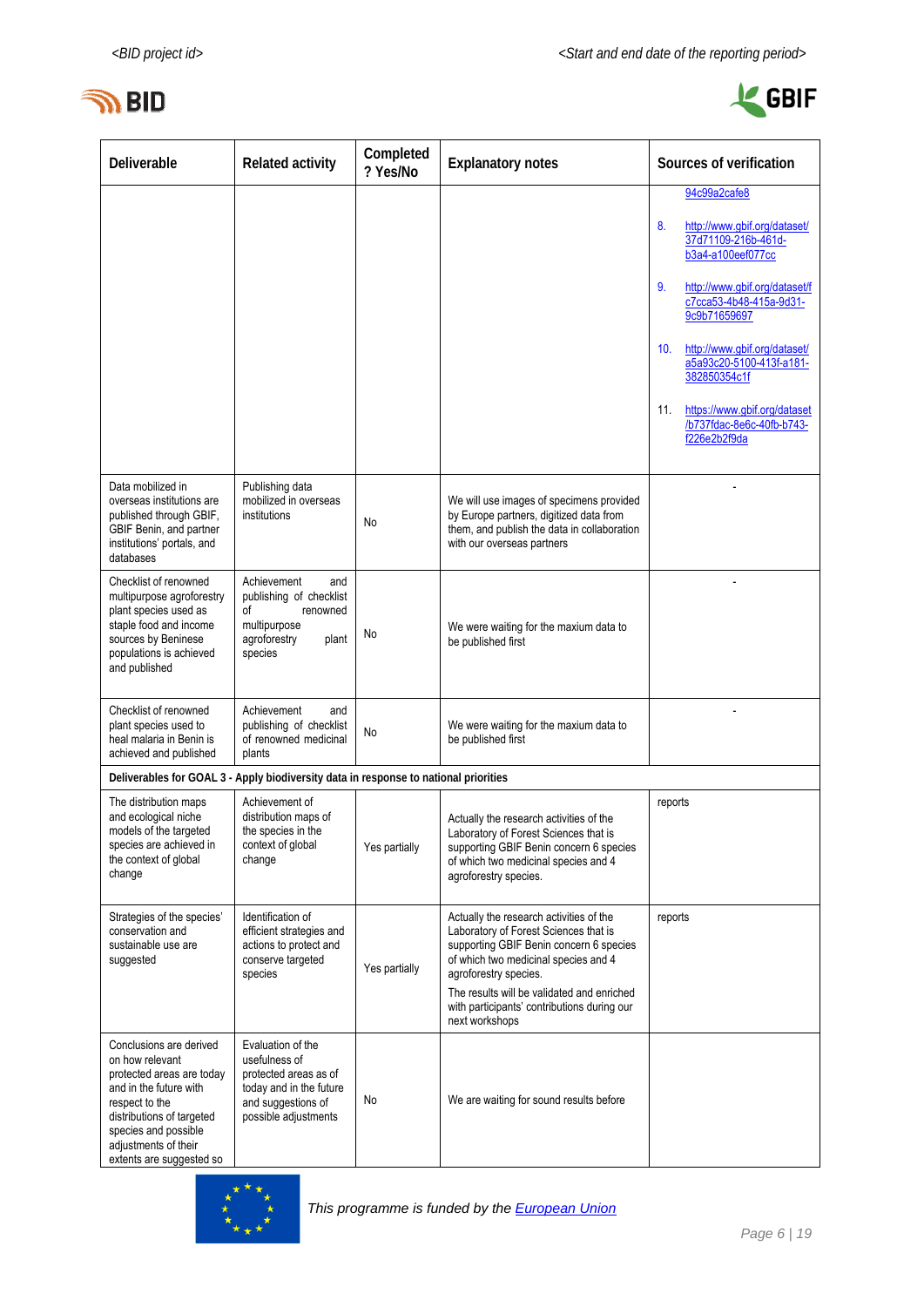



| Deliverable                                                                                                                                                                                                                  | <b>Related activity</b>                                                                                                              | Completed<br>? Yes/No | <b>Explanatory notes</b>                                                                                                                                                                                                                                                                                    | Sources of verification                                                          |
|------------------------------------------------------------------------------------------------------------------------------------------------------------------------------------------------------------------------------|--------------------------------------------------------------------------------------------------------------------------------------|-----------------------|-------------------------------------------------------------------------------------------------------------------------------------------------------------------------------------------------------------------------------------------------------------------------------------------------------------|----------------------------------------------------------------------------------|
|                                                                                                                                                                                                                              |                                                                                                                                      |                       |                                                                                                                                                                                                                                                                                                             | 94c99a2cafe8                                                                     |
|                                                                                                                                                                                                                              |                                                                                                                                      |                       |                                                                                                                                                                                                                                                                                                             | 8.<br>http://www.gbif.org/dataset/<br>37d71109-216b-461d-<br>b3a4-a100eef077cc   |
|                                                                                                                                                                                                                              |                                                                                                                                      |                       |                                                                                                                                                                                                                                                                                                             | http://www.qbif.org/dataset/f<br>9.<br>c7cca53-4b48-415a-9d31-<br>9c9b71659697   |
|                                                                                                                                                                                                                              |                                                                                                                                      |                       |                                                                                                                                                                                                                                                                                                             | 10.<br>http://www.gbif.org/dataset/<br>a5a93c20-5100-413f-a181-<br>382850354c1f  |
|                                                                                                                                                                                                                              |                                                                                                                                      |                       |                                                                                                                                                                                                                                                                                                             | 11.<br>https://www.gbif.org/dataset<br>/b737fdac-8e6c-40fb-b743-<br>f226e2b2f9da |
| Data mobilized in<br>overseas institutions are<br>published through GBIF,<br>GBIF Benin, and partner<br>institutions' portals, and<br>databases                                                                              | Publishing data<br>mobilized in overseas<br>institutions                                                                             | No                    | We will use images of specimens provided<br>by Europe partners, digitized data from<br>them, and publish the data in collaboration<br>with our overseas partners                                                                                                                                            |                                                                                  |
| Checklist of renowned<br>multipurpose agroforestry<br>plant species used as<br>staple food and income<br>sources by Beninese<br>populations is achieved<br>and published                                                     | Achievement<br>and<br>publishing of checklist<br>оf<br>renowned<br>multipurpose<br>agroforestry<br>plant<br>species                  | No                    | We were waiting for the maxium data to<br>be published first                                                                                                                                                                                                                                                |                                                                                  |
| Checklist of renowned<br>plant species used to<br>heal malaria in Benin is<br>achieved and published                                                                                                                         | Achievement<br>and<br>publishing of checklist<br>of renowned medicinal<br>plants                                                     | No                    | We were waiting for the maxium data to<br>be published first                                                                                                                                                                                                                                                |                                                                                  |
| Deliverables for GOAL 3 - Apply biodiversity data in response to national priorities                                                                                                                                         |                                                                                                                                      |                       |                                                                                                                                                                                                                                                                                                             |                                                                                  |
| The distribution maps<br>and ecological niche<br>models of the targeted<br>species are achieved in<br>the context of global<br>change                                                                                        | Achievement of<br>distribution maps of<br>the species in the<br>context of global<br>change                                          | Yes partially         | Actually the research activities of the<br>Laboratory of Forest Sciences that is<br>supporting GBIF Benin concern 6 species<br>of which two medicinal species and 4<br>agroforestry species.                                                                                                                | reports                                                                          |
| Strategies of the species'<br>conservation and<br>sustainable use are<br>suggested                                                                                                                                           | Identification of<br>efficient strategies and<br>actions to protect and<br>conserve targeted<br>species                              | Yes partially         | Actually the research activities of the<br>Laboratory of Forest Sciences that is<br>supporting GBIF Benin concern 6 species<br>of which two medicinal species and 4<br>agroforestry species.<br>The results will be validated and enriched<br>with participants' contributions during our<br>next workshops | reports                                                                          |
| Conclusions are derived<br>on how relevant<br>protected areas are today<br>and in the future with<br>respect to the<br>distributions of targeted<br>species and possible<br>adjustments of their<br>extents are suggested so | Evaluation of the<br>usefulness of<br>protected areas as of<br>today and in the future<br>and suggestions of<br>possible adjustments | No.                   | We are waiting for sound results before                                                                                                                                                                                                                                                                     |                                                                                  |

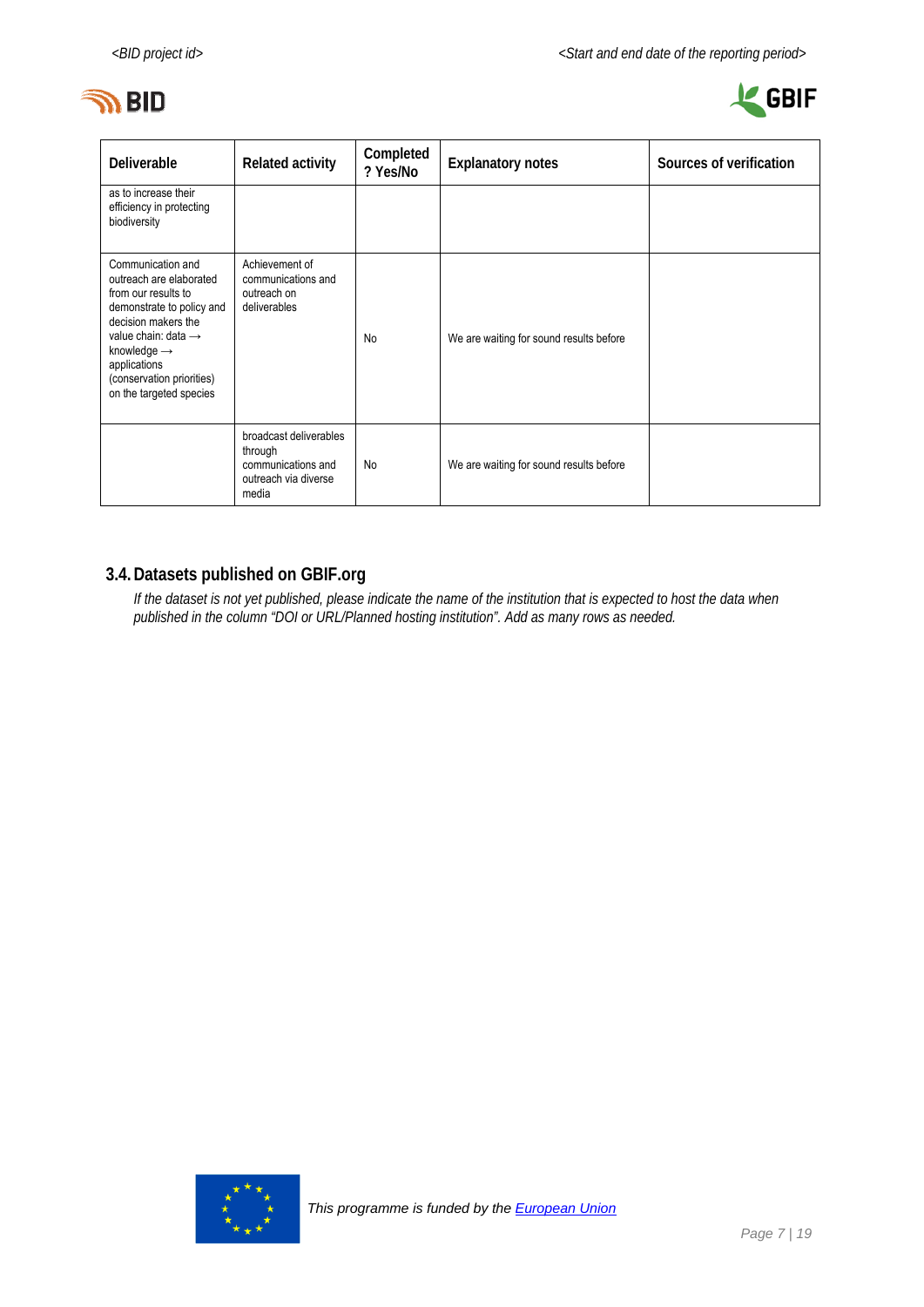



| Deliverable                                                                                                                                                                                                                                                   | <b>Related activity</b>                                                                  | Completed<br>? Yes/No | <b>Explanatory notes</b>                | Sources of verification |
|---------------------------------------------------------------------------------------------------------------------------------------------------------------------------------------------------------------------------------------------------------------|------------------------------------------------------------------------------------------|-----------------------|-----------------------------------------|-------------------------|
| as to increase their<br>efficiency in protecting<br>biodiversity                                                                                                                                                                                              |                                                                                          |                       |                                         |                         |
| Communication and<br>outreach are elaborated<br>from our results to<br>demonstrate to policy and<br>decision makers the<br>value chain: data $\rightarrow$<br>knowledge $\rightarrow$<br>applications<br>(conservation priorities)<br>on the targeted species | Achievement of<br>communications and<br>outreach on<br>deliverables                      | No                    | We are waiting for sound results before |                         |
|                                                                                                                                                                                                                                                               | broadcast deliverables<br>through<br>communications and<br>outreach via diverse<br>media | No                    | We are waiting for sound results before |                         |

# **3.4.Datasets published on GBIF.org**

*If the dataset is not yet published, please indicate the name of the institution that is expected to host the data when published in the column "DOI or URL/Planned hosting institution". Add as many rows as needed.* 

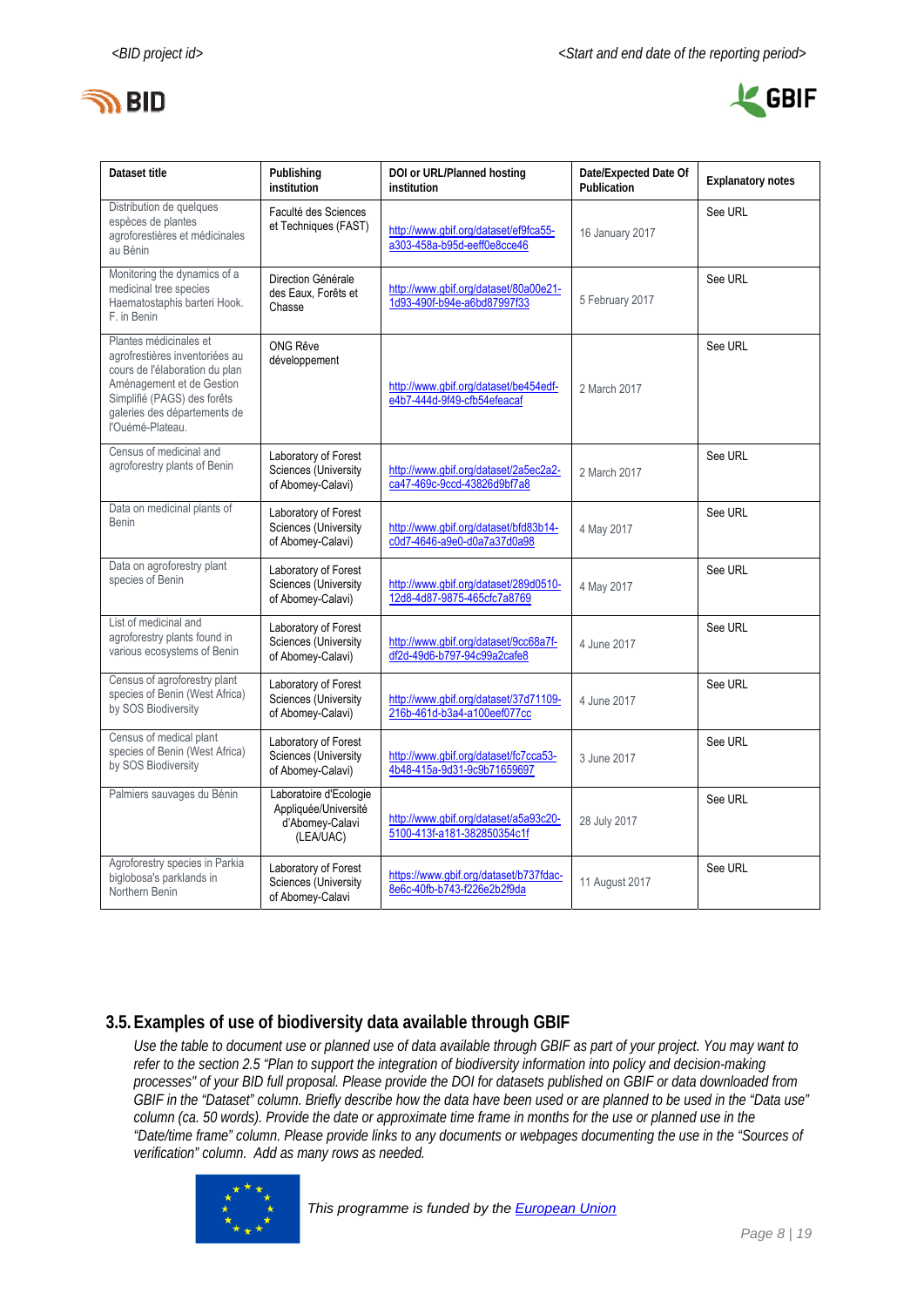



| Dataset title                                                                                                                                                                                              | Publishing<br>institution                                                      | DOI or URL/Planned hosting<br>institution                             | Date/Expected Date Of<br>Publication | <b>Explanatory notes</b> |
|------------------------------------------------------------------------------------------------------------------------------------------------------------------------------------------------------------|--------------------------------------------------------------------------------|-----------------------------------------------------------------------|--------------------------------------|--------------------------|
| Distribution de quelques<br>espèces de plantes<br>agroforestières et médicinales<br>au Bénin                                                                                                               | Faculté des Sciences<br>et Techniques (FAST)                                   | http://www.gbif.org/dataset/ef9fca55-<br>a303-458a-b95d-eeff0e8cce46  | 16 January 2017                      | See URL                  |
| Monitoring the dynamics of a<br>medicinal tree species<br>Haematostaphis barteri Hook.<br>F. in Benin                                                                                                      | Direction Générale<br>des Eaux, Forêts et<br>Chasse                            | http://www.qbif.org/dataset/80a00e21-<br>1d93-490f-b94e-a6bd87997f33  | 5 February 2017                      | See URL                  |
| Plantes médicinales et<br>agrofrestières inventoriées au<br>cours de l'élaboration du plan<br>Aménagement et de Gestion<br>Simplifié (PAGS) des forêts<br>galeries des départements de<br>l'Ouémé-Plateau. | <b>ONG Rêve</b><br>développement                                               | http://www.qbif.org/dataset/be454edf-<br>e4b7-444d-9f49-cfb54efeacaf  | 2 March 2017                         | See URL                  |
| Census of medicinal and<br>agroforestry plants of Benin                                                                                                                                                    | Laboratory of Forest<br>Sciences (University<br>of Abomey-Calavi)              | http://www.gbif.org/dataset/2a5ec2a2-<br>ca47-469c-9ccd-43826d9bf7a8  | 2 March 2017                         | See URL                  |
| Data on medicinal plants of<br>Benin                                                                                                                                                                       | Laboratory of Forest<br>Sciences (University<br>of Abomey-Calavi)              | http://www.qbif.org/dataset/bfd83b14-<br>c0d7-4646-a9e0-d0a7a37d0a98  | 4 May 2017                           | See URL                  |
| Data on agroforestry plant<br>species of Benin                                                                                                                                                             | Laboratory of Forest<br>Sciences (University<br>of Abomey-Calavi)              | http://www.gbif.org/dataset/289d0510-<br>12d8-4d87-9875-465cfc7a8769  | 4 May 2017                           | See URL                  |
| List of medicinal and<br>agroforestry plants found in<br>various ecosystems of Benin                                                                                                                       | Laboratory of Forest<br>Sciences (University<br>of Abomey-Calavi)              | http://www.qbif.org/dataset/9cc68a7f-<br>df2d-49d6-b797-94c99a2cafe8  | 4 June 2017                          | See URL                  |
| Census of agroforestry plant<br>species of Benin (West Africa)<br>by SOS Biodiversity                                                                                                                      | Laboratory of Forest<br>Sciences (University<br>of Abomey-Calavi)              | http://www.qbif.org/dataset/37d71109-<br>216b-461d-b3a4-a100eef077cc  | 4 June 2017                          | See URL                  |
| Census of medical plant<br>species of Benin (West Africa)<br>by SOS Biodiversity                                                                                                                           | Laboratory of Forest<br>Sciences (University<br>of Abomey-Calavi)              | http://www.qbif.org/dataset/fc7cca53-<br>4b48-415a-9d31-9c9b71659697  | 3 June 2017                          | See URL                  |
| Palmiers sauvages du Bénin                                                                                                                                                                                 | Laboratoire d'Ecologie<br>Appliquée/Université<br>d'Abomey-Calavi<br>(LEA/UAC) | http://www.gbif.org/dataset/a5a93c20-<br>5100-413f-a181-382850354c1f  | 28 July 2017                         | See URL                  |
| Agroforestry species in Parkia<br>biglobosa's parklands in<br>Northern Benin                                                                                                                               | Laboratory of Forest<br>Sciences (University<br>of Abomey-Calavi               | https://www.qbif.org/dataset/b737fdac-<br>8e6c-40fb-b743-f226e2b2f9da | 11 August 2017                       | See URL                  |

### **3.5.Examples of use of biodiversity data available through GBIF**

*Use the table to document use or planned use of data available through GBIF as part of your project. You may want to refer to the section 2.5 "Plan to support the integration of biodiversity information into policy and decision-making processes" of your BID full proposal. Please provide the DOI for datasets published on GBIF or data downloaded from GBIF in the "Dataset" column. Briefly describe how the data have been used or are planned to be used in the "Data use" column (ca. 50 words). Provide the date or approximate time frame in months for the use or planned use in the "Date/time frame" column. Please provide links to any documents or webpages documenting the use in the "Sources of verification" column. Add as many rows as needed.* 

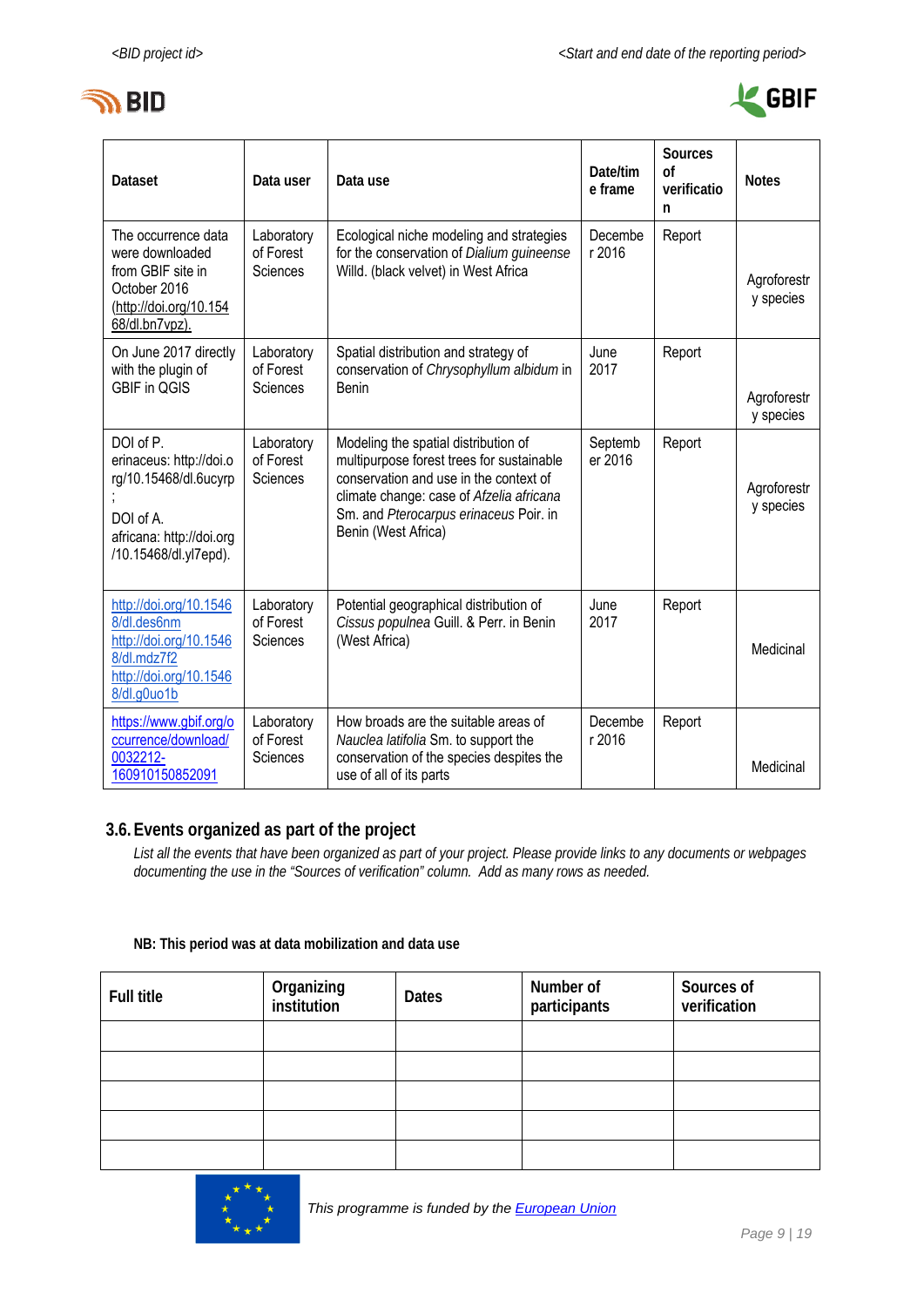



| <b>Dataset</b>                                                                                                                  | Data user                           | Data use                                                                                                                                                                                                                                 | Date/tim<br>e frame | Sources<br>0f<br>verificatio<br>n | <b>Notes</b>             |
|---------------------------------------------------------------------------------------------------------------------------------|-------------------------------------|------------------------------------------------------------------------------------------------------------------------------------------------------------------------------------------------------------------------------------------|---------------------|-----------------------------------|--------------------------|
| The occurrence data<br>were downloaded<br>from GBIF site in<br>October 2016<br>(http://doi.org/10.154<br>68/dl.bn7vpz).         | Laboratory<br>of Forest<br>Sciences | Ecological niche modeling and strategies<br>for the conservation of Dialium guineense<br>Willd. (black velvet) in West Africa                                                                                                            | Decembe<br>r 2016   | Report                            | Agroforestr<br>y species |
| On June 2017 directly<br>with the plugin of<br><b>GBIF in QGIS</b>                                                              | Laboratory<br>of Forest<br>Sciences | Spatial distribution and strategy of<br>conservation of Chrysophyllum albidum in<br>Benin                                                                                                                                                | June<br>2017        | Report                            | Agroforestr<br>y species |
| DOI of P.<br>erinaceus: http://doi.o<br>rg/10.15468/dl.6ucyrp<br>DOI of A.<br>africana: http://doi.org<br>/10.15468/dl.yl7epd). | Laboratory<br>of Forest<br>Sciences | Modeling the spatial distribution of<br>multipurpose forest trees for sustainable<br>conservation and use in the context of<br>climate change: case of Afzelia africana<br>Sm. and Pterocarpus erinaceus Poir. in<br>Benin (West Africa) | Septemb<br>er 2016  | Report                            | Agroforestr<br>y species |
| http://doi.org/10.1546<br>8/dl.des6nm<br>http://doi.org/10.1546<br>8/dl.mdz7f2<br>http://doi.org/10.1546<br>8/dl.g0uo1b         | Laboratory<br>of Forest<br>Sciences | Potential geographical distribution of<br>Cissus populnea Guill. & Perr. in Benin<br>(West Africa)                                                                                                                                       | June<br>2017        | Report                            | Medicinal                |
| https://www.gbif.org/o<br>ccurrence/download/<br>0032212-<br>160910150852091                                                    | Laboratory<br>of Forest<br>Sciences | How broads are the suitable areas of<br>Nauclea latifolia Sm. to support the<br>conservation of the species despites the<br>use of all of its parts                                                                                      | Decembe<br>r 2016   | Report                            | Medicinal                |

### **3.6.Events organized as part of the project**

*List all the events that have been organized as part of your project. Please provide links to any documents or webpages documenting the use in the "Sources of verification" column. Add as many rows as needed.* 

#### **NB: This period was at data mobilization and data use**

| <b>Full title</b> | Organizing<br>institution | <b>Dates</b> | Number of<br>participants | Sources of<br>verification |
|-------------------|---------------------------|--------------|---------------------------|----------------------------|
|                   |                           |              |                           |                            |
|                   |                           |              |                           |                            |
|                   |                           |              |                           |                            |
|                   |                           |              |                           |                            |
|                   |                           |              |                           |                            |

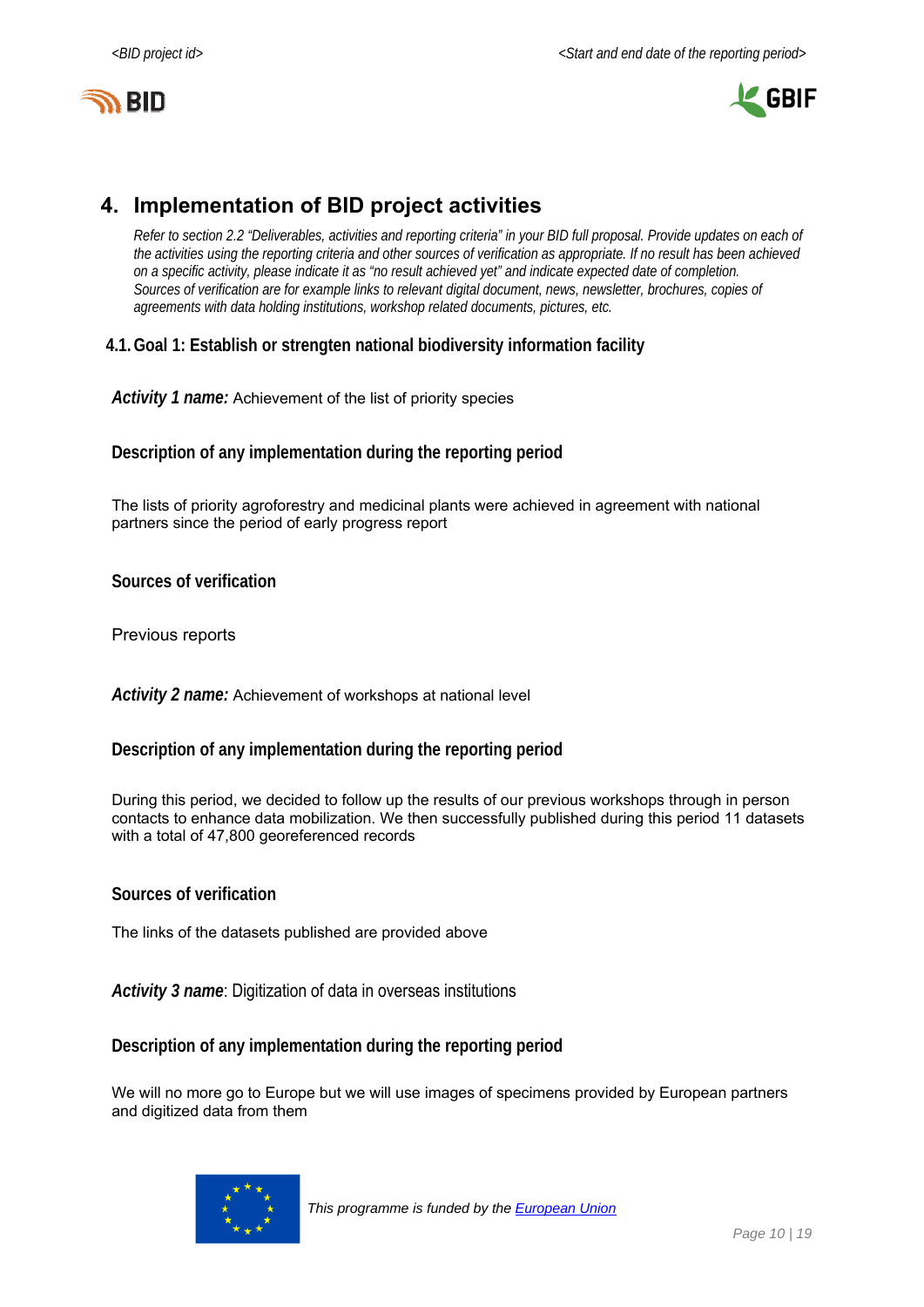



# **4. Implementation of BID project activities**

*Refer to section 2.2 "Deliverables, activities and reporting criteria" in your BID full proposal. Provide updates on each of the activities using the reporting criteria and other sources of verification as appropriate. If no result has been achieved on a specific activity, please indicate it as "no result achieved yet" and indicate expected date of completion. Sources of verification are for example links to relevant digital document, news, newsletter, brochures, copies of agreements with data holding institutions, workshop related documents, pictures, etc.* 

### **4.1.Goal 1: Establish or strengten national biodiversity information facility**

*Activity 1 name:* Achievement of the list of priority species

**Description of any implementation during the reporting period** 

The lists of priority agroforestry and medicinal plants were achieved in agreement with national partners since the period of early progress report

**Sources of verification** 

Previous reports

*Activity 2 name:* Achievement of workshops at national level

#### **Description of any implementation during the reporting period**

During this period, we decided to follow up the results of our previous workshops through in person contacts to enhance data mobilization. We then successfully published during this period 11 datasets with a total of 47,800 georeferenced records

#### **Sources of verification**

The links of the datasets published are provided above

*Activity 3 name*: Digitization of data in overseas institutions

**Description of any implementation during the reporting period** 

We will no more go to Europe but we will use images of specimens provided by European partners and digitized data from them

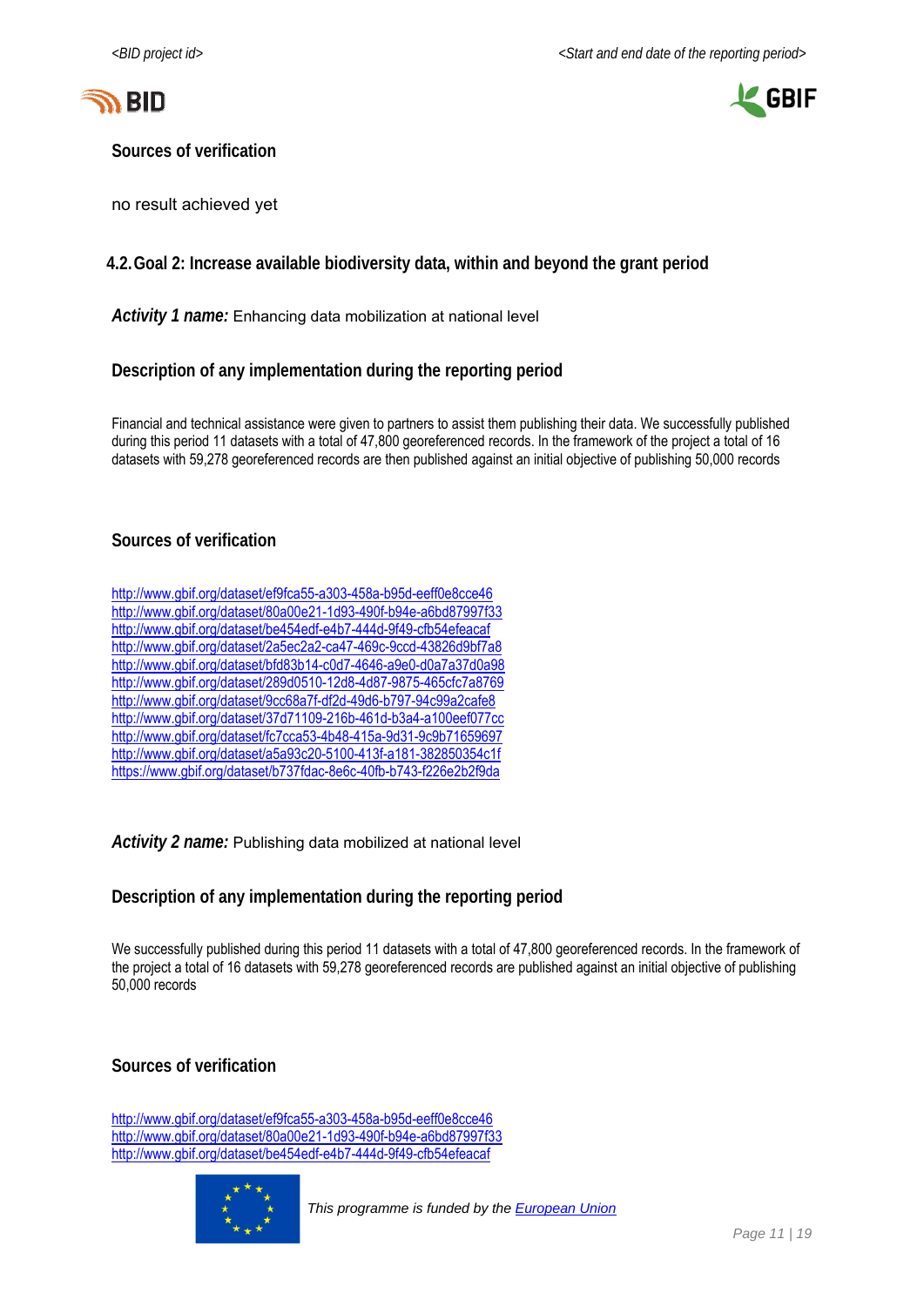



**Sources of verification** 

no result achieved yet

#### **4.2.Goal 2: Increase available biodiversity data, within and beyond the grant period**

*Activity 1 name:* Enhancing data mobilization at national level

#### **Description of any implementation during the reporting period**

Financial and technical assistance were given to partners to assist them publishing their data. We successfully published during this period 11 datasets with a total of 47,800 georeferenced records. In the framework of the project a total of 16 datasets with 59,278 georeferenced records are then published against an initial objective of publishing 50,000 records

#### **Sources of verification**

| http://www.gbif.org/dataset/ef9fca55-a303-458a-b95d-eeff0e8cce46  |
|-------------------------------------------------------------------|
| http://www.gbif.org/dataset/80a00e21-1d93-490f-b94e-a6bd87997f33  |
| http://www.gbif.org/dataset/be454edf-e4b7-444d-9f49-cfb54efeacaf  |
| http://www.gbif.org/dataset/2a5ec2a2-ca47-469c-9ccd-43826d9bf7a8  |
| http://www.gbif.org/dataset/bfd83b14-c0d7-4646-a9e0-d0a7a37d0a98  |
| http://www.gbif.org/dataset/289d0510-12d8-4d87-9875-465cfc7a8769  |
| http://www.gbif.org/dataset/9cc68a7f-df2d-49d6-b797-94c99a2cafe8  |
| http://www.gbif.org/dataset/37d71109-216b-461d-b3a4-a100eef077cc  |
| http://www.gbif.org/dataset/fc7cca53-4b48-415a-9d31-9c9b71659697  |
| http://www.gbif.org/dataset/a5a93c20-5100-413f-a181-382850354c1f  |
| https://www.gbif.org/dataset/b737fdac-8e6c-40fb-b743-f226e2b2f9da |

#### *Activity 2 name:* Publishing data mobilized at national level

#### **Description of any implementation during the reporting period**

We successfully published during this period 11 datasets with a total of 47,800 georeferenced records. In the framework of the project a total of 16 datasets with 59,278 georeferenced records are published against an initial objective of publishing 50,000 records

#### **Sources of verification**

http://www.gbif.org/dataset/ef9fca55-a303-458a-b95d-eeff0e8cce46 http://www.gbif.org/dataset/80a00e21-1d93-490f-b94e-a6bd87997f33 http://www.gbif.org/dataset/be454edf-e4b7-444d-9f49-cfb54efeacaf

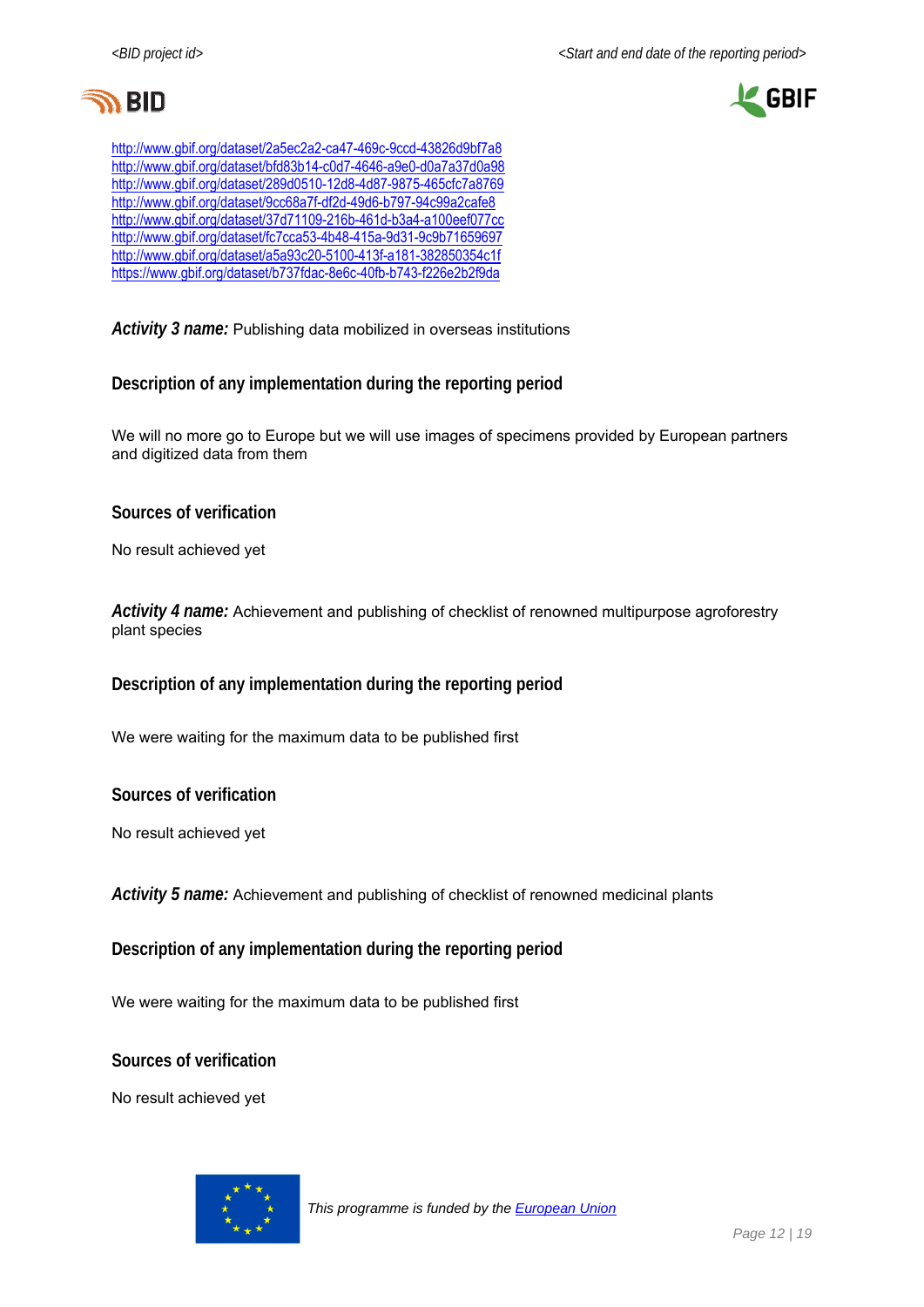



http://www.gbif.org/dataset/2a5ec2a2-ca47-469c-9ccd-43826d9bf7a8 http://www.gbif.org/dataset/bfd83b14-c0d7-4646-a9e0-d0a7a37d0a98 http://www.gbif.org/dataset/289d0510-12d8-4d87-9875-465cfc7a8769 http://www.gbif.org/dataset/9cc68a7f-df2d-49d6-b797-94c99a2cafe8 http://www.gbif.org/dataset/37d71109-216b-461d-b3a4-a100eef077cc http://www.gbif.org/dataset/fc7cca53-4b48-415a-9d31-9c9b71659697 http://www.gbif.org/dataset/a5a93c20-5100-413f-a181-382850354c1f https://www.gbif.org/dataset/b737fdac-8e6c-40fb-b743-f226e2b2f9da

*Activity 3 name:* Publishing data mobilized in overseas institutions

**Description of any implementation during the reporting period** 

We will no more go to Europe but we will use images of specimens provided by European partners and digitized data from them

**Sources of verification** 

No result achieved yet

*Activity 4 name:* Achievement and publishing of checklist of renowned multipurpose agroforestry plant species

**Description of any implementation during the reporting period** 

We were waiting for the maximum data to be published first

**Sources of verification** 

No result achieved yet

*Activity 5 name:* Achievement and publishing of checklist of renowned medicinal plants

**Description of any implementation during the reporting period** 

We were waiting for the maximum data to be published first

**Sources of verification** 

No result achieved yet

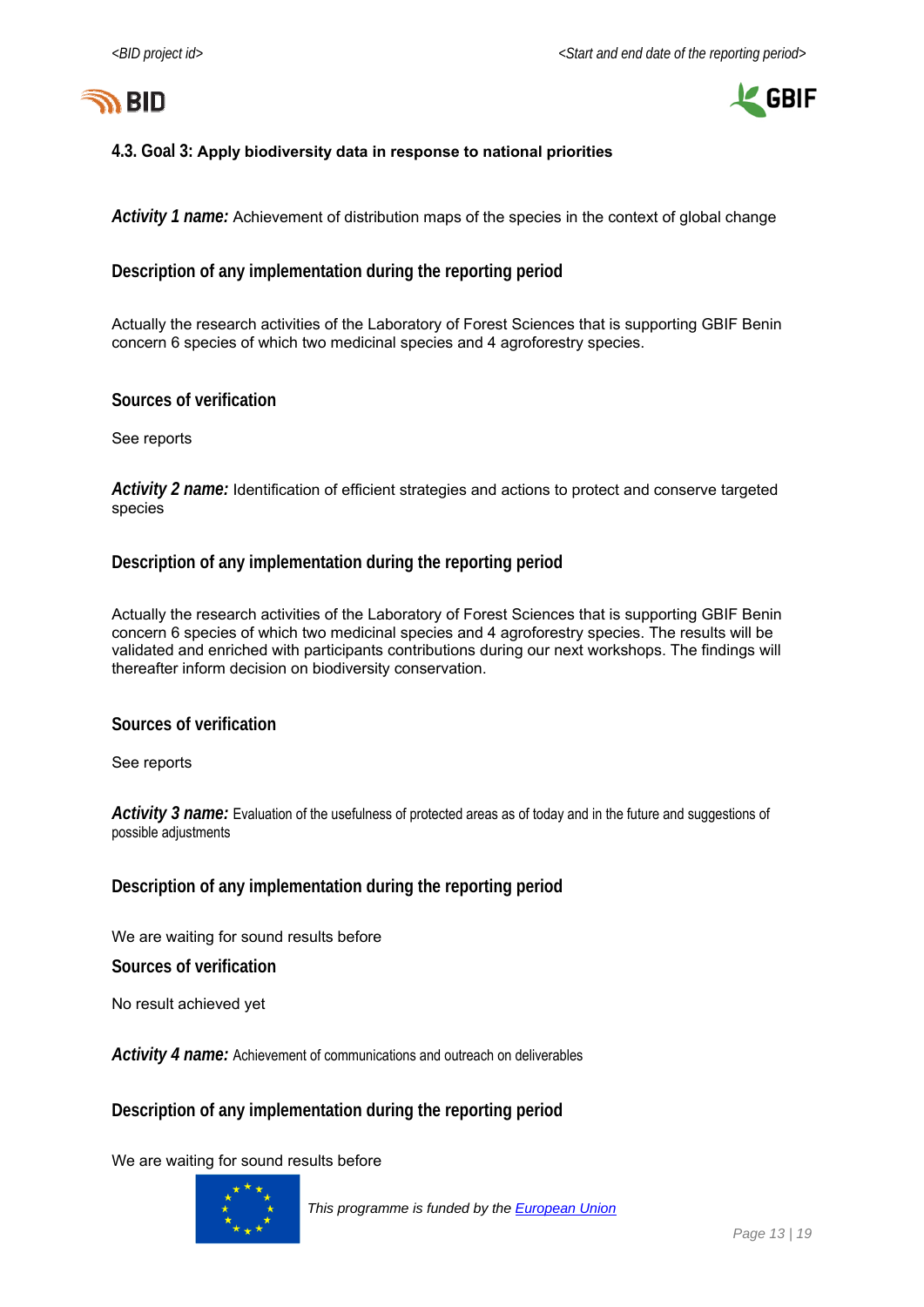



#### **4.3. Goal 3: Apply biodiversity data in response to national priorities**

*Activity 1 name:* Achievement of distribution maps of the species in the context of global change

#### **Description of any implementation during the reporting period**

Actually the research activities of the Laboratory of Forest Sciences that is supporting GBIF Benin concern 6 species of which two medicinal species and 4 agroforestry species.

#### **Sources of verification**

See reports

*Activity 2 name:* Identification of efficient strategies and actions to protect and conserve targeted species

#### **Description of any implementation during the reporting period**

Actually the research activities of the Laboratory of Forest Sciences that is supporting GBIF Benin concern 6 species of which two medicinal species and 4 agroforestry species. The results will be validated and enriched with participants contributions during our next workshops. The findings will thereafter inform decision on biodiversity conservation.

#### **Sources of verification**

See reports

*Activity 3 name:* Evaluation of the usefulness of protected areas as of today and in the future and suggestions of possible adjustments

#### **Description of any implementation during the reporting period**

We are waiting for sound results before

**Sources of verification** 

No result achieved yet

*Activity 4 name:* Achievement of communications and outreach on deliverables

#### **Description of any implementation during the reporting period**

We are waiting for sound results before

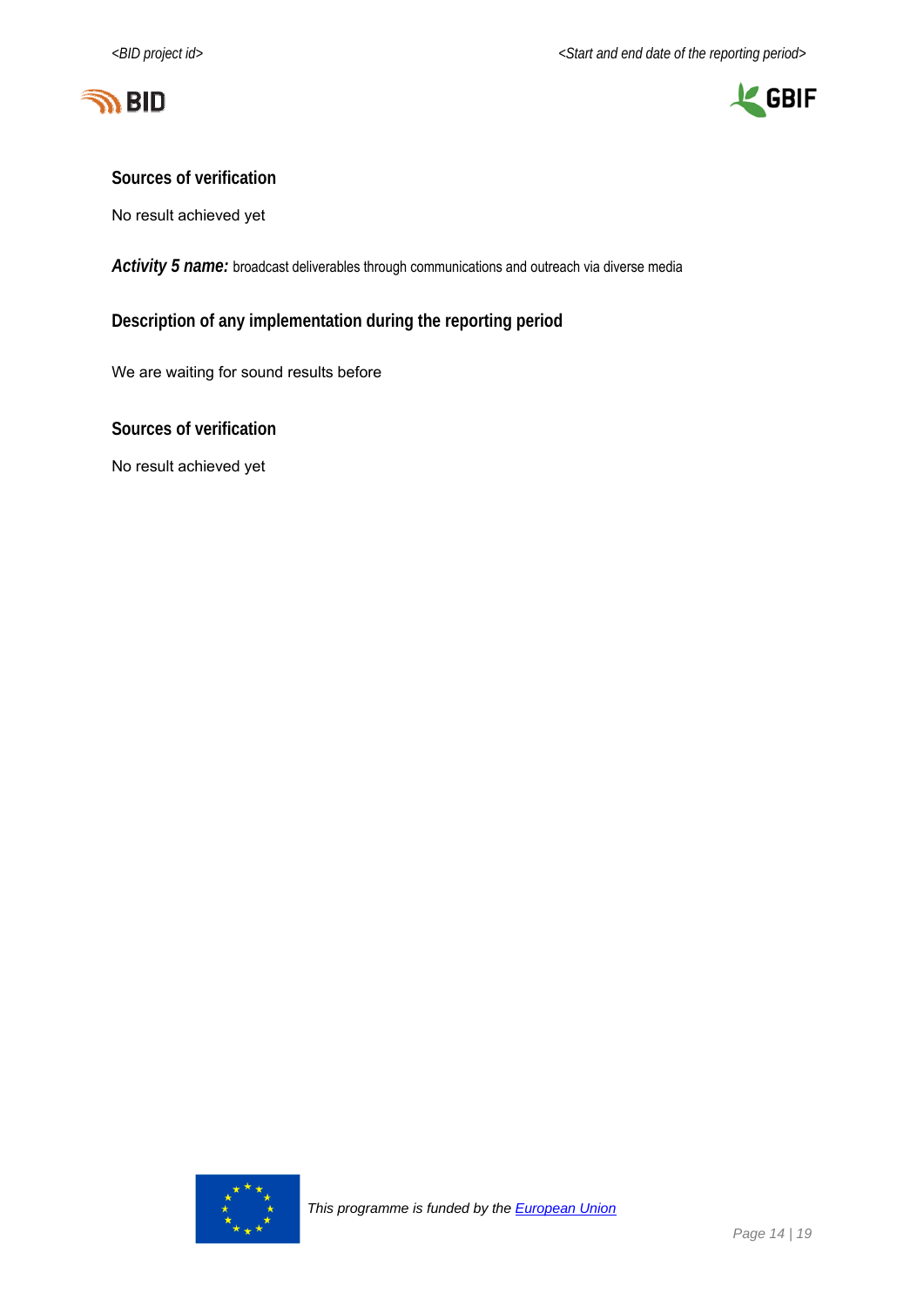



#### **Sources of verification**

No result achieved yet

Activity 5 name: broadcast deliverables through communications and outreach via diverse media

**Description of any implementation during the reporting period** 

We are waiting for sound results before

**Sources of verification** 

No result achieved yet

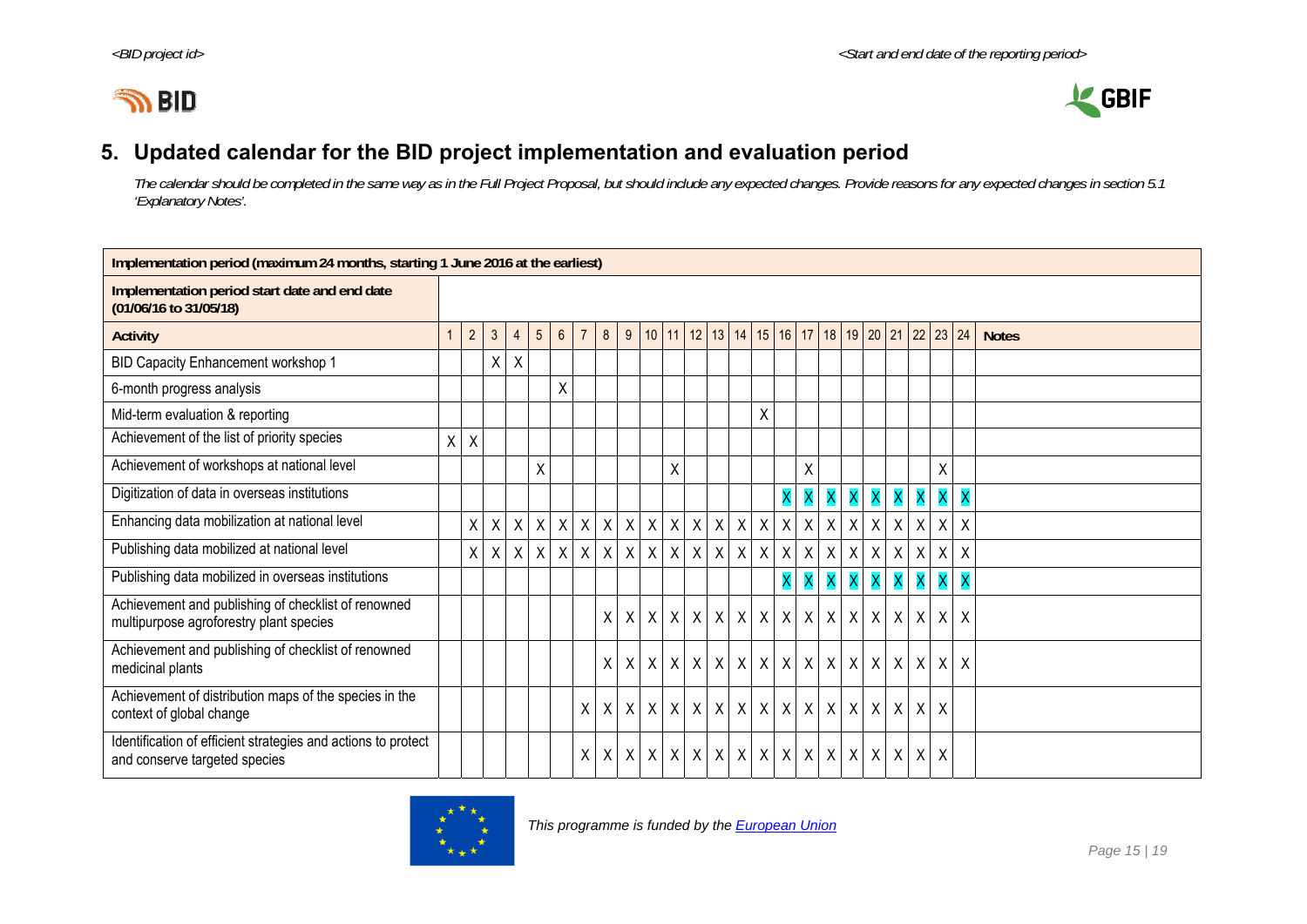



# **5. Updated calendar for the BID project implementation and evaluation period**

*The calendar should be completed in the same way as in the Full Project Proposal, but should include any expected changes. Provide reasons for any expected changes in section 5.1 'Explanatory Notes'.* 

| Implementation period (maximum 24 months, starting 1 June 2016 at the earliest)                |   |                |                |              |                 |                 |                |                |              |              |              |   |                           |                   |              |                                                  |              |              |   |                                      |                              |                           |                           |              |
|------------------------------------------------------------------------------------------------|---|----------------|----------------|--------------|-----------------|-----------------|----------------|----------------|--------------|--------------|--------------|---|---------------------------|-------------------|--------------|--------------------------------------------------|--------------|--------------|---|--------------------------------------|------------------------------|---------------------------|---------------------------|--------------|
| Implementation period start date and end date<br>(01/06/16 to 31/05/18)                        |   |                |                |              |                 |                 |                |                |              |              |              |   |                           |                   |              |                                                  |              |              |   |                                      |                              |                           |                           |              |
| <b>Activity</b>                                                                                |   | $\overline{c}$ | $\mathfrak{Z}$ | 4            | $5\phantom{.0}$ | $6\overline{6}$ | $\overline{7}$ | 8 <sup>1</sup> |              |              |              |   |                           |                   |              | $9   10   11   12   13   14   15   16   17   18$ |              |              |   | 19 20 21 22                          |                              | 23                        | 24                        | <b>Notes</b> |
| BID Capacity Enhancement workshop 1                                                            |   |                | $\mathsf{X}$   | $\sf X$      |                 |                 |                |                |              |              |              |   |                           |                   |              |                                                  |              |              |   |                                      |                              |                           |                           |              |
| 6-month progress analysis                                                                      |   |                |                |              |                 | Χ               |                |                |              |              |              |   |                           |                   |              |                                                  |              |              |   |                                      |                              |                           |                           |              |
| Mid-term evaluation & reporting                                                                |   |                |                |              |                 |                 |                |                |              |              |              |   |                           |                   | Χ            |                                                  |              |              |   |                                      |                              |                           |                           |              |
| Achievement of the list of priority species                                                    | X | $\sf X$        |                |              |                 |                 |                |                |              |              |              |   |                           |                   |              |                                                  |              |              |   |                                      |                              |                           |                           |              |
| Achievement of workshops at national level                                                     |   |                |                |              | X               |                 |                |                |              |              | Χ            |   |                           |                   |              |                                                  | Χ            |              |   |                                      |                              | Χ                         |                           |              |
| Digitization of data in overseas institutions                                                  |   |                |                |              |                 |                 |                |                |              |              |              |   |                           |                   |              | $\overline{\mathsf{x}}$                          | X            | X            |   | $\mathsf{X} \mathbin{\ } \mathsf{X}$ | <b>XX</b>                    | X                         | $\overline{\mathsf{x}}$   |              |
| Enhancing data mobilization at national level                                                  |   | $\mathsf{X}$   | $\mathsf{X}$   | $\mathsf{X}$ | X               | $\mathsf{X}$    |                | $X$ $X$        | $\mathsf{X}$ | $\mathsf X$  | $\mathsf{X}$ |   |                           | $X$ $X$ $X$       | $\mathsf{X}$ | $\mathsf{X}$                                     | $\mathsf{X}$ | $\mathsf{X}$ | X | X                                    | $X$ $X$                      | $\mathsf{X}$              | $\boldsymbol{\mathsf{X}}$ |              |
| Publishing data mobilized at national level                                                    |   | X              | X              | X            | $\times$        | $\mathsf{X}$    |                | $X$ $X$        | X            | $\mathsf{X}$ | X            |   |                           | $X$ $X$ $X$       | $\mathsf{X}$ | $\mathsf{X}$                                     | X            | $\mathsf{X}$ |   | $X$ $X$ $X$ $X$                      |                              | $\mathsf X$               | $\boldsymbol{X}$          |              |
| Publishing data mobilized in overseas institutions                                             |   |                |                |              |                 |                 |                |                |              |              |              |   |                           |                   |              | X                                                | X            | <b>X</b>     | X | X                                    | $\mathbf{X} \mid \mathbf{X}$ | X                         | $\overline{\mathsf{x}}$   |              |
| Achievement and publishing of checklist of renowned<br>multipurpose agroforestry plant species |   |                |                |              |                 |                 |                | $\mathsf{X}$   | X            | $\sf X$      | $\mathsf{X}$ |   | $X$ $X$                   | $\mathsf{X}$      | $\mathsf{X}$ | $\mathsf{X}$                                     | $\mathsf{X}$ | $\mathsf{X}$ |   | $x \mid x \mid x \mid x$             |                              | $\sf X$                   | $\boldsymbol{X}$          |              |
| Achievement and publishing of checklist of renowned<br>medicinal plants                        |   |                |                |              |                 |                 |                | $\mathsf{X}$   | $\sf X$      | $\mathsf{X}$ | X            | X | $\boldsymbol{\mathsf{X}}$ | $\mathsf{X}$      | $\mathsf{X}$ | $\mathsf{X}$                                     | $\mathsf{X}$ | $\mathsf{X}$ |   | $X$ $X$ $X$ $X$                      |                              | $\sf X$                   | $\mathsf{X}$              |              |
| Achievement of distribution maps of the species in the<br>context of global change             |   |                |                |              |                 |                 | $\mathsf{X}$   | $\times$       | $\mathsf{X}$ | $\mathsf{X}$ | $\mathsf{X}$ |   |                           | $x \mid x \mid x$ | $\mathsf{X}$ | $\mathsf{X}$                                     | $\mathsf{X}$ | $\mathsf{X}$ |   | $X$ $X$                              | $X$ $X$                      | X                         |                           |              |
| Identification of efficient strategies and actions to protect<br>and conserve targeted species |   |                |                |              |                 |                 | $\mathsf{X}$   | $\mathsf{X}$   | $\mathsf{X}$ | X            | X            |   |                           | $X$ $X$ $X$       | $\mathsf X$  | $\boldsymbol{X}$                                 | $\mathsf{X}$ | $\mathsf{X}$ |   | $X$ $X$ $X$                          | $\mathsf{X}$                 | $\boldsymbol{\mathsf{X}}$ |                           |              |

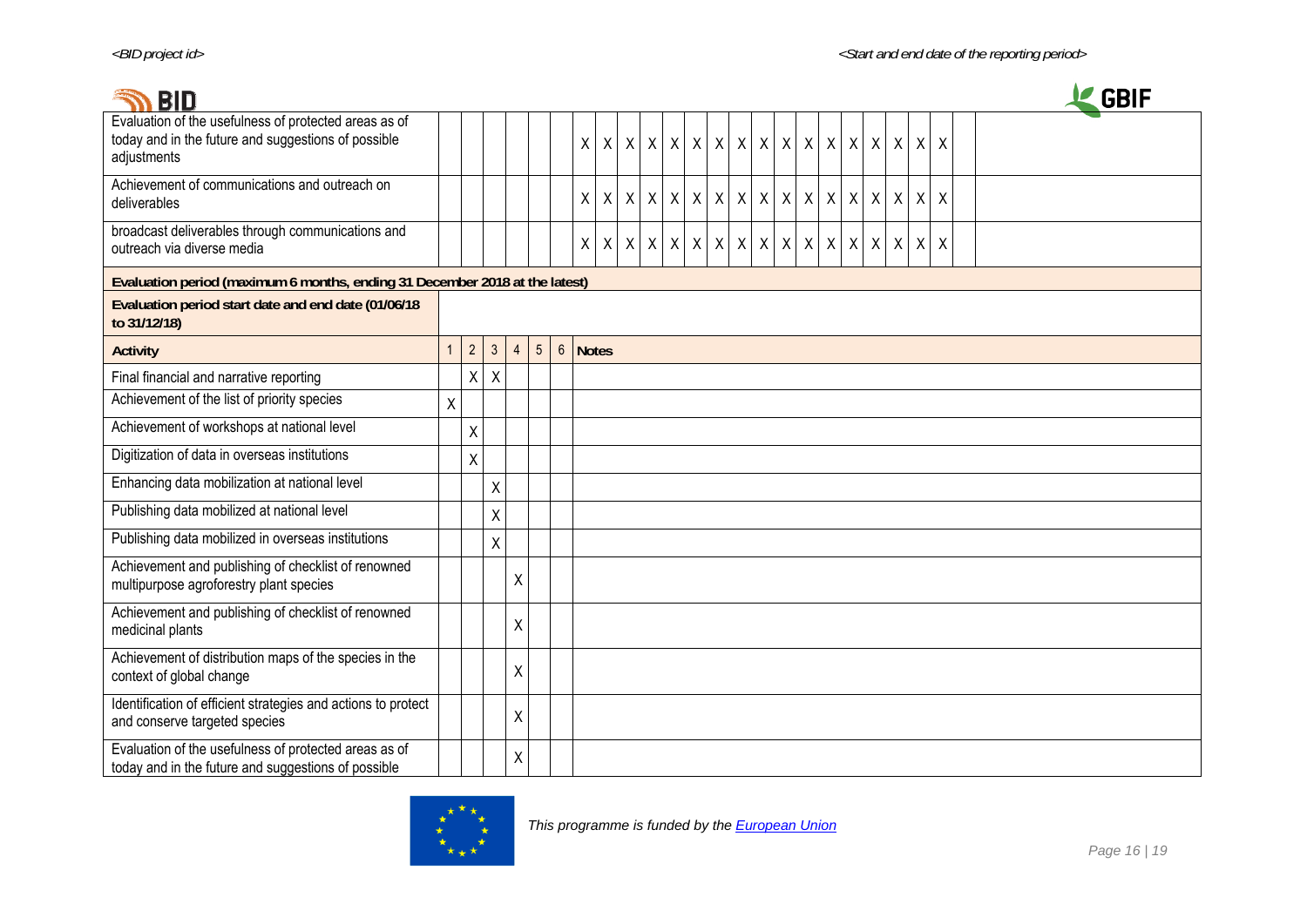| <b>BID</b>                                                                                                                  |              |              |                |                |                |              |              |              |         |                          |              |              |  |                       |                  |             |              |             |              |              | <b>GBIF</b> |
|-----------------------------------------------------------------------------------------------------------------------------|--------------|--------------|----------------|----------------|----------------|--------------|--------------|--------------|---------|--------------------------|--------------|--------------|--|-----------------------|------------------|-------------|--------------|-------------|--------------|--------------|-------------|
| Evaluation of the usefulness of protected areas as of<br>today and in the future and suggestions of possible<br>adjustments |              |              |                |                |                | $\mathsf{X}$ | $\mathsf{X}$ |              |         | x   x   x   x            |              | $\mathsf X$  |  | x   x   x   x         | $\boldsymbol{X}$ | $\mathsf X$ | $\mathsf{X}$ | $\sf X$     | $\sf X$      | $\pmb{\chi}$ |             |
| Achievement of communications and outreach on<br>deliverables                                                               |              |              |                |                |                | $\mathsf{X}$ | $\mathsf{X}$ | $\mathsf{X}$ | $\sf X$ | $\sf X$                  | $\mathsf{X}$ | $\mathsf{X}$ |  | x   x   x   x         | $\sf X$          | X           | $\mathsf{X}$ | X           | $\times$     | X            |             |
| broadcast deliverables through communications and<br>outreach via diverse media                                             |              |              |                |                |                | $\mathsf{X}$ | $\mathsf X$  |              |         | $x \mid x \mid x \mid x$ |              |              |  | x   x   x   x   x   x |                  | $X$ $X$     |              | $\mathsf X$ | $\mathsf{X}$ | $\pmb{\chi}$ |             |
| Evaluation period (maximum 6 months, ending 31 December 2018 at the latest)                                                 |              |              |                |                |                |              |              |              |         |                          |              |              |  |                       |                  |             |              |             |              |              |             |
| Evaluation period start date and end date (01/06/18<br>to 31/12/18)                                                         |              |              |                |                |                |              |              |              |         |                          |              |              |  |                       |                  |             |              |             |              |              |             |
| <b>Activity</b>                                                                                                             | $\mathbf{1}$ | $2^{\circ}$  | $\mathfrak{Z}$ | $\overline{4}$ | 5 <sup>5</sup> | 6 Notes      |              |              |         |                          |              |              |  |                       |                  |             |              |             |              |              |             |
| Final financial and narrative reporting                                                                                     |              | $\mathsf{x}$ | $\mathsf X$    |                |                |              |              |              |         |                          |              |              |  |                       |                  |             |              |             |              |              |             |
| Achievement of the list of priority species                                                                                 | Χ            |              |                |                |                |              |              |              |         |                          |              |              |  |                       |                  |             |              |             |              |              |             |
| Achievement of workshops at national level                                                                                  |              | X            |                |                |                |              |              |              |         |                          |              |              |  |                       |                  |             |              |             |              |              |             |
| Digitization of data in overseas institutions                                                                               |              | X            |                |                |                |              |              |              |         |                          |              |              |  |                       |                  |             |              |             |              |              |             |
| Enhancing data mobilization at national level                                                                               |              |              | $\sf X$        |                |                |              |              |              |         |                          |              |              |  |                       |                  |             |              |             |              |              |             |
| Publishing data mobilized at national level                                                                                 |              |              | $\sf X$        |                |                |              |              |              |         |                          |              |              |  |                       |                  |             |              |             |              |              |             |
| Publishing data mobilized in overseas institutions                                                                          |              |              | $\sf X$        |                |                |              |              |              |         |                          |              |              |  |                       |                  |             |              |             |              |              |             |
| Achievement and publishing of checklist of renowned<br>multipurpose agroforestry plant species                              |              |              |                | Χ              |                |              |              |              |         |                          |              |              |  |                       |                  |             |              |             |              |              |             |
| Achievement and publishing of checklist of renowned<br>medicinal plants                                                     |              |              |                | Χ              |                |              |              |              |         |                          |              |              |  |                       |                  |             |              |             |              |              |             |
| Achievement of distribution maps of the species in the<br>context of global change                                          |              |              |                | Χ              |                |              |              |              |         |                          |              |              |  |                       |                  |             |              |             |              |              |             |
| Identification of efficient strategies and actions to protect<br>and conserve targeted species                              |              |              |                | X              |                |              |              |              |         |                          |              |              |  |                       |                  |             |              |             |              |              |             |
| Evaluation of the usefulness of protected areas as of<br>today and in the future and suggestions of possible                |              |              |                | X              |                |              |              |              |         |                          |              |              |  |                       |                  |             |              |             |              |              |             |

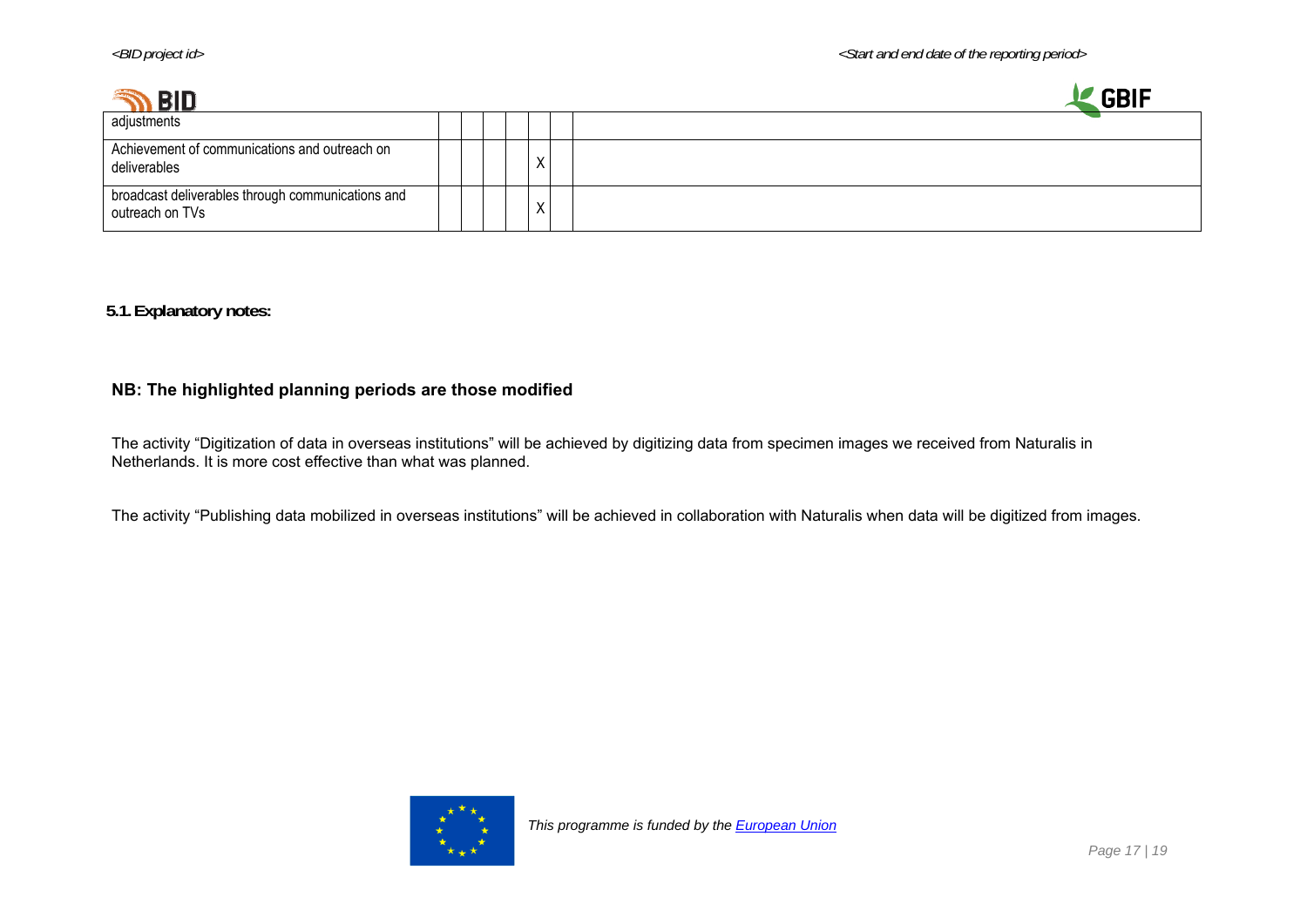| DIR                                                                  |  |   |                           | <b>CDIL</b> |
|----------------------------------------------------------------------|--|---|---------------------------|-------------|
| adjustments                                                          |  |   |                           |             |
| Achievement of communications and outreach on<br>deliverables        |  |   | $\checkmark$<br>$\lambda$ |             |
| broadcast deliverables through communications and<br>outreach on TVs |  | ⌒ | $\checkmark$              |             |

### **5.1.Explanatory notes:**

#### **NB: The highlighted planning periods are those modified**

The activity "Digitization of data in overseas institutions" will be achieved by digitizing data from specimen images we received from Naturalis in Netherlands. It is more cost effective than what was planned.

The activity "Publishing data mobilized in overseas institutions" will be achieved in collaboration with Naturalis when data will be digitized from images.

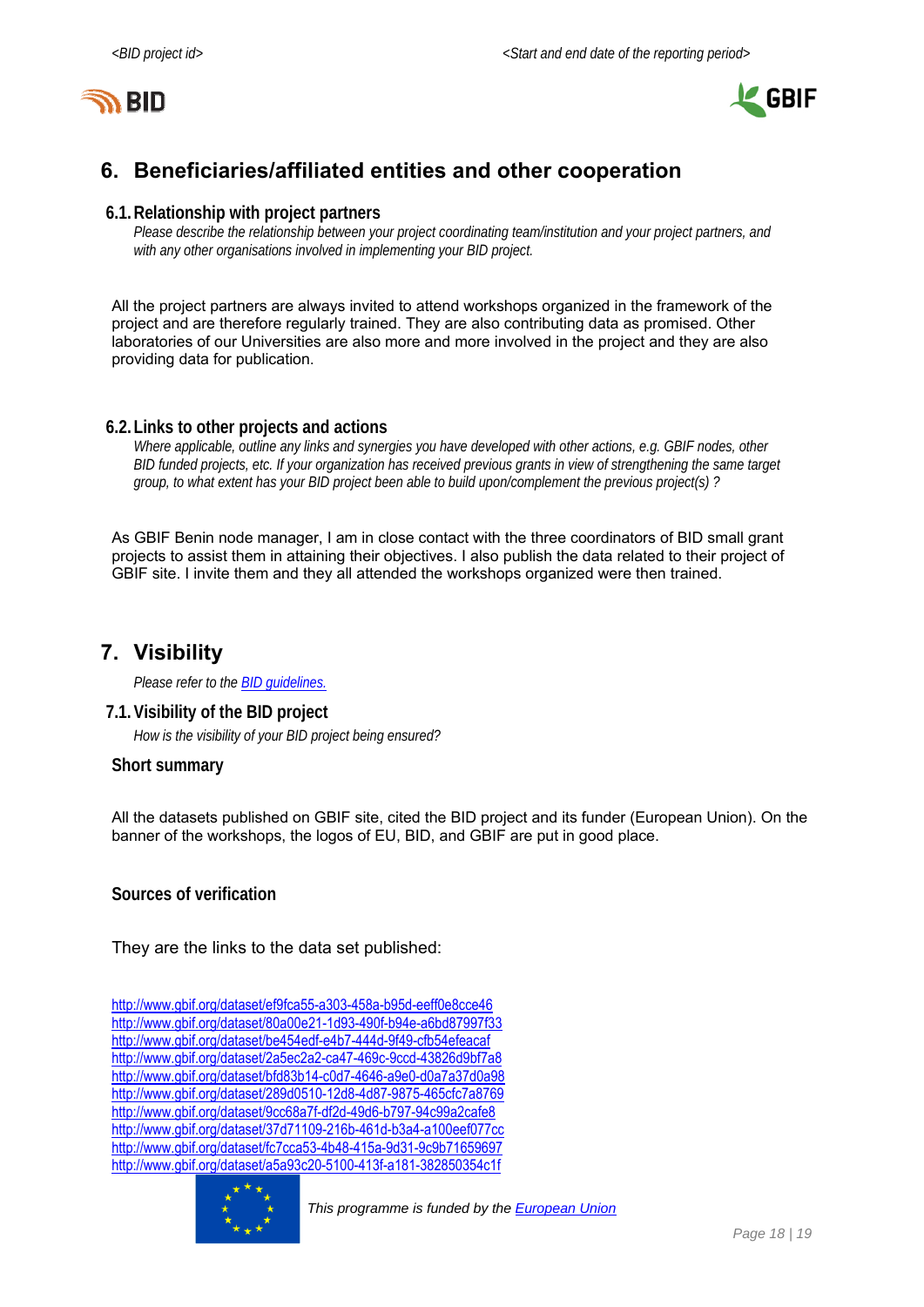



# **6. Beneficiaries/affiliated entities and other cooperation**

#### **6.1.Relationship with project partners**

*Please describe the relationship between your project coordinating team/institution and your project partners, and with any other organisations involved in implementing your BID project.* 

All the project partners are always invited to attend workshops organized in the framework of the project and are therefore regularly trained. They are also contributing data as promised. Other laboratories of our Universities are also more and more involved in the project and they are also providing data for publication.

#### **6.2.Links to other projects and actions**

*Where applicable, outline any links and synergies you have developed with other actions, e.g. GBIF nodes, other BID funded projects, etc. If your organization has received previous grants in view of strengthening the same target group, to what extent has your BID project been able to build upon/complement the previous project(s) ?* 

As GBIF Benin node manager, I am in close contact with the three coordinators of BID small grant projects to assist them in attaining their objectives. I also publish the data related to their project of GBIF site. I invite them and they all attended the workshops organized were then trained.

### **7. Visibility**

*Please refer to the BID guidelines.*

#### **7.1.Visibility of the BID project**

*How is the visibility of your BID project being ensured?* 

#### **Short summary**

All the datasets published on GBIF site, cited the BID project and its funder (European Union). On the banner of the workshops, the logos of EU, BID, and GBIF are put in good place.

**Sources of verification** 

They are the links to the data set published:

http://www.gbif.org/dataset/ef9fca55-a303-458a-b95d-eeff0e8cce46 http://www.gbif.org/dataset/80a00e21-1d93-490f-b94e-a6bd87997f33 http://www.gbif.org/dataset/be454edf-e4b7-444d-9f49-cfb54efeacaf http://www.gbif.org/dataset/2a5ec2a2-ca47-469c-9ccd-43826d9bf7a8 http://www.gbif.org/dataset/bfd83b14-c0d7-4646-a9e0-d0a7a37d0a98 http://www.gbif.org/dataset/289d0510-12d8-4d87-9875-465cfc7a8769 http://www.gbif.org/dataset/9cc68a7f-df2d-49d6-b797-94c99a2cafe8 http://www.gbif.org/dataset/37d71109-216b-461d-b3a4-a100eef077cc http://www.gbif.org/dataset/fc7cca53-4b48-415a-9d31-9c9b71659697 http://www.gbif.org/dataset/a5a93c20-5100-413f-a181-382850354c1f